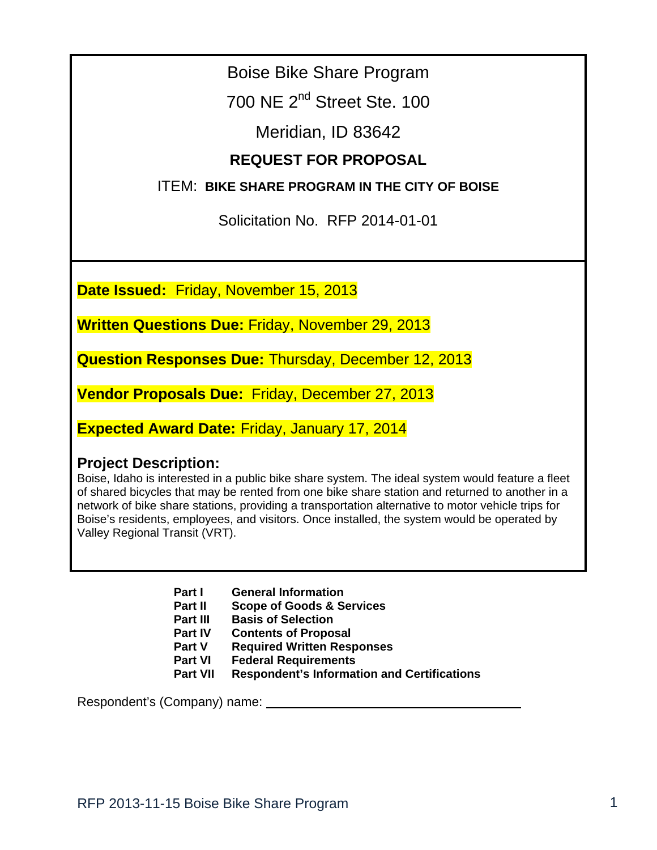# Boise Bike Share Program

700 NF 2<sup>nd</sup> Street Ste. 100

Meridian, ID 83642

# **REQUEST FOR PROPOSAL**

## ITEM: **BIKE SHARE PROGRAM IN THE CITY OF BOISE**

Solicitation No.RFP 2014-01-01

**Date Issued:** Friday, November 15, 2013

**Written Questions Due:** Friday, November 29, 2013

**Question Responses Due:** Thursday, December 12, 2013

**Vendor Proposals Due:** Friday, December 27, 2013

**Expected Award Date:** Friday, January 17, 2014

# **Project Description:**

Boise, Idaho is interested in a public bike share system. The ideal system would feature a fleet of shared bicycles that may be rented from one bike share station and returned to another in a network of bike share stations, providing a transportation alternative to motor vehicle trips for Boise's residents, employees, and visitors. Once installed, the system would be operated by Valley Regional Transit (VRT).

- **Part I General Information**
- **Part II Scope of Goods & Services**
- **Part III Basis of Selection**
- **Part IV Contents of Proposal**
- **Part V Required Written Responses**
- 
- **Part VI Federal Requirements**<br>**Part VII Respondent's Informat Respondent's Information and Certifications**

Respondent's (Company) name: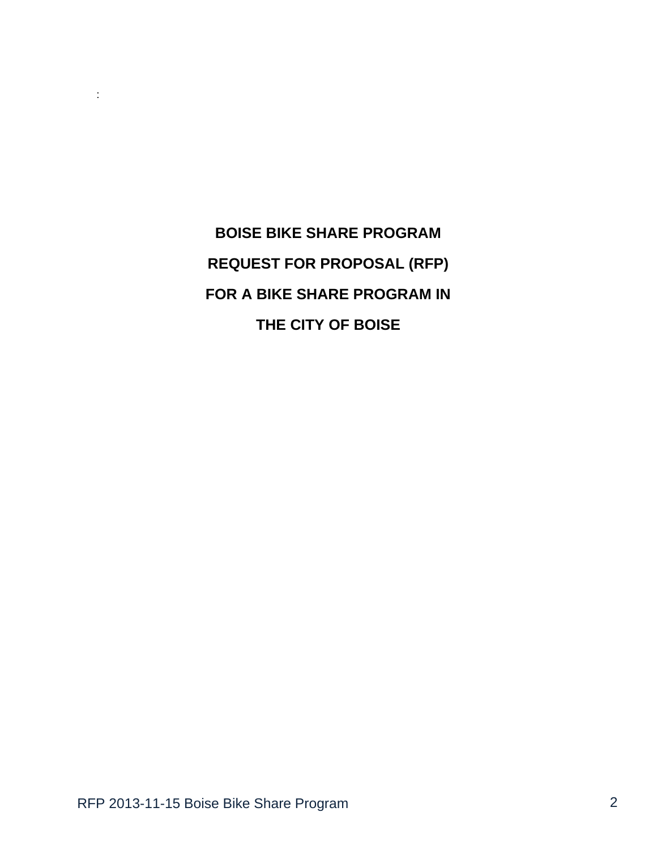**BOISE BIKE SHARE PROGRAM REQUEST FOR PROPOSAL (RFP) FOR A BIKE SHARE PROGRAM IN THE CITY OF BOISE** 

: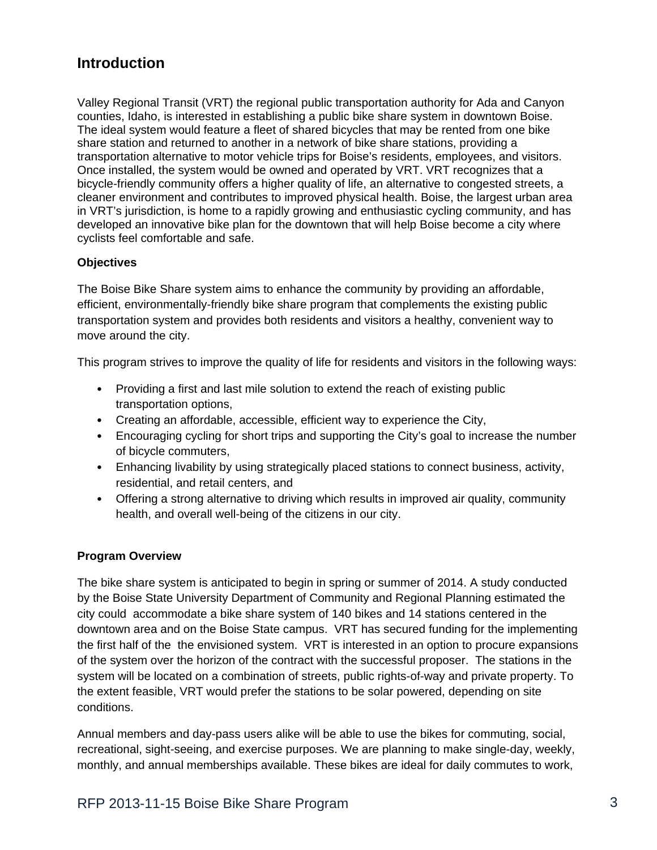# **Introduction**

Valley Regional Transit (VRT) the regional public transportation authority for Ada and Canyon counties, Idaho, is interested in establishing a public bike share system in downtown Boise. The ideal system would feature a fleet of shared bicycles that may be rented from one bike share station and returned to another in a network of bike share stations, providing a transportation alternative to motor vehicle trips for Boise's residents, employees, and visitors. Once installed, the system would be owned and operated by VRT. VRT recognizes that a bicycle-friendly community offers a higher quality of life, an alternative to congested streets, a cleaner environment and contributes to improved physical health. Boise, the largest urban area in VRT's jurisdiction, is home to a rapidly growing and enthusiastic cycling community, and has developed an innovative bike plan for the downtown that will help Boise become a city where cyclists feel comfortable and safe.

## **Objectives**

The Boise Bike Share system aims to enhance the community by providing an affordable, efficient, environmentally-friendly bike share program that complements the existing public transportation system and provides both residents and visitors a healthy, convenient way to move around the city.

This program strives to improve the quality of life for residents and visitors in the following ways:

- Providing a first and last mile solution to extend the reach of existing public transportation options,
- Creating an affordable, accessible, efficient way to experience the City,
- Encouraging cycling for short trips and supporting the City's goal to increase the number of bicycle commuters,
- Enhancing livability by using strategically placed stations to connect business, activity, residential, and retail centers, and
- Offering a strong alternative to driving which results in improved air quality, community health, and overall well-being of the citizens in our city.

#### **Program Overview**

The bike share system is anticipated to begin in spring or summer of 2014. A study conducted by the Boise State University Department of Community and Regional Planning estimated the city could accommodate a bike share system of 140 bikes and 14 stations centered in the downtown area and on the Boise State campus. VRT has secured funding for the implementing the first half of the the envisioned system. VRT is interested in an option to procure expansions of the system over the horizon of the contract with the successful proposer. The stations in the system will be located on a combination of streets, public rights-of-way and private property. To the extent feasible, VRT would prefer the stations to be solar powered, depending on site conditions.

Annual members and day-pass users alike will be able to use the bikes for commuting, social, recreational, sight-seeing, and exercise purposes. We are planning to make single-day, weekly, monthly, and annual memberships available. These bikes are ideal for daily commutes to work,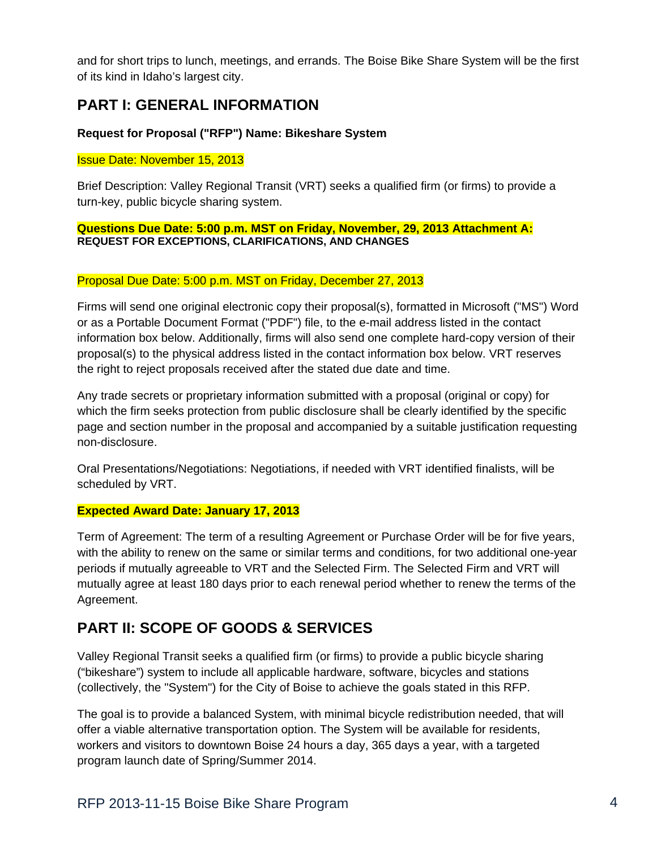and for short trips to lunch, meetings, and errands. The Boise Bike Share System will be the first of its kind in Idaho's largest city.

# **PART I: GENERAL INFORMATION**

#### **Request for Proposal ("RFP") Name: Bikeshare System**

#### Issue Date: November 15, 2013

Brief Description: Valley Regional Transit (VRT) seeks a qualified firm (or firms) to provide a turn-key, public bicycle sharing system.

#### **Questions Due Date: 5:00 p.m. MST on Friday, November, 29, 2013 Attachment A: REQUEST FOR EXCEPTIONS, CLARIFICATIONS, AND CHANGES**

#### Proposal Due Date: 5:00 p.m. MST on Friday, December 27, 2013

Firms will send one original electronic copy their proposal(s), formatted in Microsoft ("MS") Word or as a Portable Document Format ("PDF") file, to the e-mail address listed in the contact information box below. Additionally, firms will also send one complete hard-copy version of their proposal(s) to the physical address listed in the contact information box below. VRT reserves the right to reject proposals received after the stated due date and time.

Any trade secrets or proprietary information submitted with a proposal (original or copy) for which the firm seeks protection from public disclosure shall be clearly identified by the specific page and section number in the proposal and accompanied by a suitable justification requesting non-disclosure.

Oral Presentations/Negotiations: Negotiations, if needed with VRT identified finalists, will be scheduled by VRT.

#### **Expected Award Date: January 17, 2013**

Term of Agreement: The term of a resulting Agreement or Purchase Order will be for five years, with the ability to renew on the same or similar terms and conditions, for two additional one-year periods if mutually agreeable to VRT and the Selected Firm. The Selected Firm and VRT will mutually agree at least 180 days prior to each renewal period whether to renew the terms of the Agreement.

# **PART II: SCOPE OF GOODS & SERVICES**

Valley Regional Transit seeks a qualified firm (or firms) to provide a public bicycle sharing ("bikeshare") system to include all applicable hardware, software, bicycles and stations (collectively, the "System") for the City of Boise to achieve the goals stated in this RFP.

The goal is to provide a balanced System, with minimal bicycle redistribution needed, that will offer a viable alternative transportation option. The System will be available for residents, workers and visitors to downtown Boise 24 hours a day, 365 days a year, with a targeted program launch date of Spring/Summer 2014.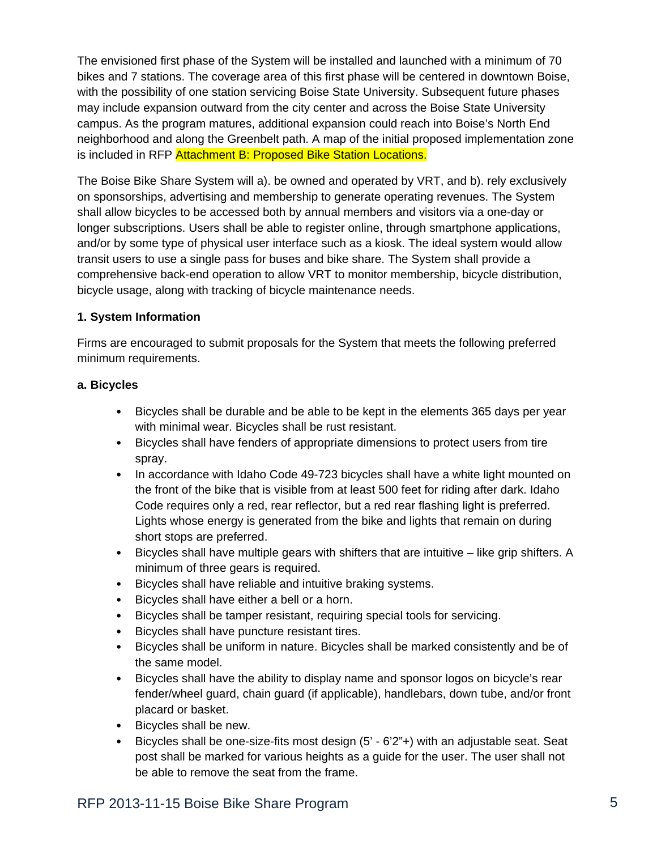The envisioned first phase of the System will be installed and launched with a minimum of 70 bikes and 7 stations. The coverage area of this first phase will be centered in downtown Boise, with the possibility of one station servicing Boise State University. Subsequent future phases may include expansion outward from the city center and across the Boise State University campus. As the program matures, additional expansion could reach into Boise's North End neighborhood and along the Greenbelt path. A map of the initial proposed implementation zone is included in RFP Attachment B: Proposed Bike Station Locations.

The Boise Bike Share System will a). be owned and operated by VRT, and b). rely exclusively on sponsorships, advertising and membership to generate operating revenues. The System shall allow bicycles to be accessed both by annual members and visitors via a one-day or longer subscriptions. Users shall be able to register online, through smartphone applications, and/or by some type of physical user interface such as a kiosk. The ideal system would allow transit users to use a single pass for buses and bike share. The System shall provide a comprehensive back-end operation to allow VRT to monitor membership, bicycle distribution, bicycle usage, along with tracking of bicycle maintenance needs.

## **1. System Information**

Firms are encouraged to submit proposals for the System that meets the following preferred minimum requirements.

#### **a. Bicycles**

- Bicycles shall be durable and be able to be kept in the elements 365 days per year with minimal wear. Bicycles shall be rust resistant.
- Bicycles shall have fenders of appropriate dimensions to protect users from tire spray.
- In accordance with Idaho Code 49-723 bicycles shall have a white light mounted on the front of the bike that is visible from at least 500 feet for riding after dark. Idaho Code requires only a red, rear reflector, but a red rear flashing light is preferred. Lights whose energy is generated from the bike and lights that remain on during short stops are preferred.
- Bicycles shall have multiple gears with shifters that are intuitive like grip shifters. A minimum of three gears is required.
- Bicycles shall have reliable and intuitive braking systems.
- Bicycles shall have either a bell or a horn.
- Bicycles shall be tamper resistant, requiring special tools for servicing.
- Bicycles shall have puncture resistant tires.
- Bicycles shall be uniform in nature. Bicycles shall be marked consistently and be of the same model.
- Bicycles shall have the ability to display name and sponsor logos on bicycle's rear fender/wheel guard, chain guard (if applicable), handlebars, down tube, and/or front placard or basket.
- Bicycles shall be new.
- Bicycles shall be one-size-fits most design (5' 6'2"+) with an adjustable seat. Seat post shall be marked for various heights as a guide for the user. The user shall not be able to remove the seat from the frame.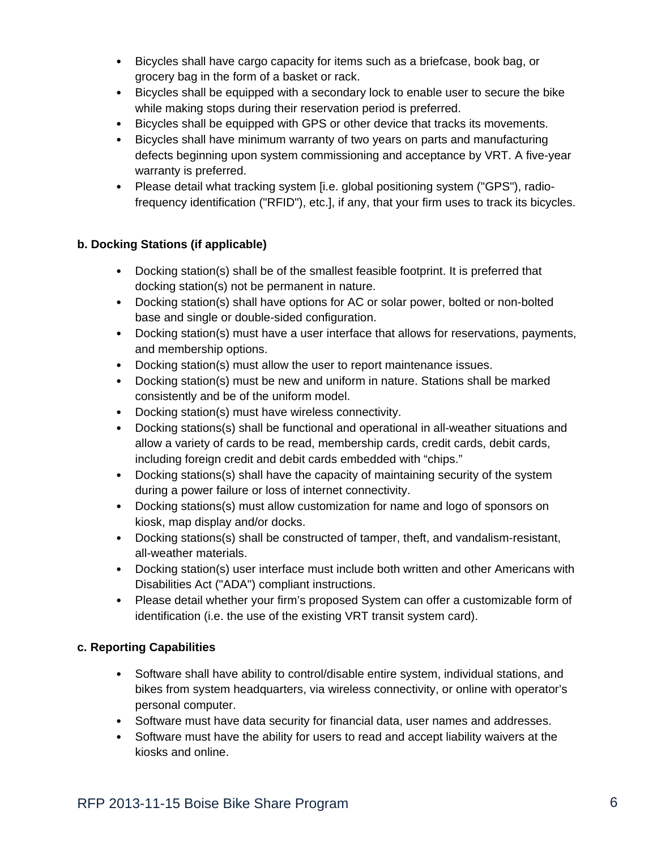- Bicycles shall have cargo capacity for items such as a briefcase, book bag, or grocery bag in the form of a basket or rack.
- Bicycles shall be equipped with a secondary lock to enable user to secure the bike while making stops during their reservation period is preferred.
- Bicycles shall be equipped with GPS or other device that tracks its movements.
- Bicycles shall have minimum warranty of two years on parts and manufacturing defects beginning upon system commissioning and acceptance by VRT. A five-year warranty is preferred.
- Please detail what tracking system [i.e. global positioning system ("GPS"), radiofrequency identification ("RFID"), etc.], if any, that your firm uses to track its bicycles.

## **b. Docking Stations (if applicable)**

- Docking station(s) shall be of the smallest feasible footprint. It is preferred that docking station(s) not be permanent in nature.
- Docking station(s) shall have options for AC or solar power, bolted or non-bolted base and single or double-sided configuration.
- Docking station(s) must have a user interface that allows for reservations, payments, and membership options.
- Docking station(s) must allow the user to report maintenance issues.
- Docking station(s) must be new and uniform in nature. Stations shall be marked consistently and be of the uniform model.
- Docking station(s) must have wireless connectivity.
- Docking stations(s) shall be functional and operational in all-weather situations and allow a variety of cards to be read, membership cards, credit cards, debit cards, including foreign credit and debit cards embedded with "chips."
- Docking stations(s) shall have the capacity of maintaining security of the system during a power failure or loss of internet connectivity.
- Docking stations(s) must allow customization for name and logo of sponsors on kiosk, map display and/or docks.
- Docking stations(s) shall be constructed of tamper, theft, and vandalism-resistant, all-weather materials.
- Docking station(s) user interface must include both written and other Americans with Disabilities Act ("ADA") compliant instructions.
- Please detail whether your firm's proposed System can offer a customizable form of identification (i.e. the use of the existing VRT transit system card).

## **c. Reporting Capabilities**

- Software shall have ability to control/disable entire system, individual stations, and bikes from system headquarters, via wireless connectivity, or online with operator's personal computer.
- Software must have data security for financial data, user names and addresses.
- Software must have the ability for users to read and accept liability waivers at the kiosks and online.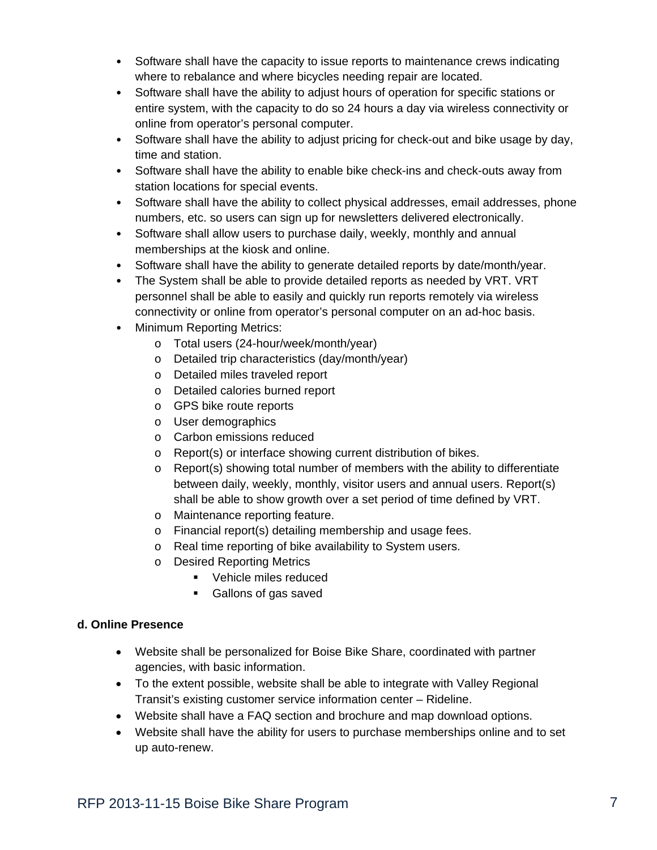- Software shall have the capacity to issue reports to maintenance crews indicating where to rebalance and where bicycles needing repair are located.
- Software shall have the ability to adjust hours of operation for specific stations or entire system, with the capacity to do so 24 hours a day via wireless connectivity or online from operator's personal computer.
- Software shall have the ability to adjust pricing for check-out and bike usage by day, time and station.
- Software shall have the ability to enable bike check-ins and check-outs away from station locations for special events.
- Software shall have the ability to collect physical addresses, email addresses, phone numbers, etc. so users can sign up for newsletters delivered electronically.
- Software shall allow users to purchase daily, weekly, monthly and annual memberships at the kiosk and online.
- Software shall have the ability to generate detailed reports by date/month/year.
- The System shall be able to provide detailed reports as needed by VRT. VRT personnel shall be able to easily and quickly run reports remotely via wireless connectivity or online from operator's personal computer on an ad-hoc basis.
- Minimum Reporting Metrics:
	- o Total users (24-hour/week/month/year)
	- o Detailed trip characteristics (day/month/year)
	- o Detailed miles traveled report
	- o Detailed calories burned report
	- o GPS bike route reports
	- o User demographics
	- o Carbon emissions reduced
	- o Report(s) or interface showing current distribution of bikes.
	- $\circ$  Report(s) showing total number of members with the ability to differentiate between daily, weekly, monthly, visitor users and annual users. Report(s) shall be able to show growth over a set period of time defined by VRT.
	- o Maintenance reporting feature.
	- o Financial report(s) detailing membership and usage fees.
	- o Real time reporting of bike availability to System users.
	- o Desired Reporting Metrics
		- Vehicle miles reduced
		- **Gallons of gas saved**

## **d. Online Presence**

- Website shall be personalized for Boise Bike Share, coordinated with partner agencies, with basic information.
- To the extent possible, website shall be able to integrate with Valley Regional Transit's existing customer service information center – Rideline.
- Website shall have a FAQ section and brochure and map download options.
- Website shall have the ability for users to purchase memberships online and to set up auto-renew.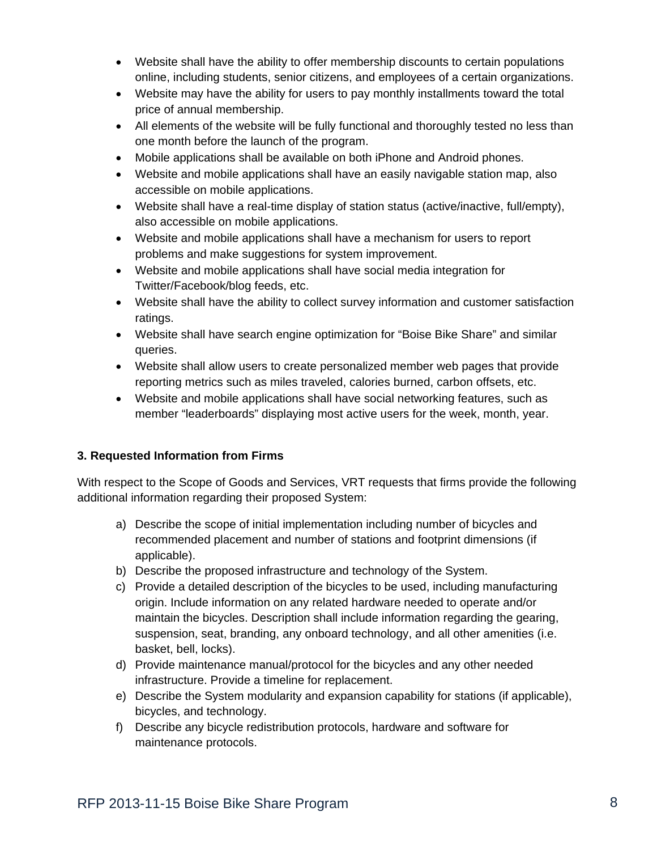- Website shall have the ability to offer membership discounts to certain populations online, including students, senior citizens, and employees of a certain organizations.
- Website may have the ability for users to pay monthly installments toward the total price of annual membership.
- All elements of the website will be fully functional and thoroughly tested no less than one month before the launch of the program.
- Mobile applications shall be available on both iPhone and Android phones.
- Website and mobile applications shall have an easily navigable station map, also accessible on mobile applications.
- Website shall have a real-time display of station status (active/inactive, full/empty), also accessible on mobile applications.
- Website and mobile applications shall have a mechanism for users to report problems and make suggestions for system improvement.
- Website and mobile applications shall have social media integration for Twitter/Facebook/blog feeds, etc.
- Website shall have the ability to collect survey information and customer satisfaction ratings.
- Website shall have search engine optimization for "Boise Bike Share" and similar queries.
- Website shall allow users to create personalized member web pages that provide reporting metrics such as miles traveled, calories burned, carbon offsets, etc.
- Website and mobile applications shall have social networking features, such as member "leaderboards" displaying most active users for the week, month, year.

## **3. Requested Information from Firms**

With respect to the Scope of Goods and Services, VRT requests that firms provide the following additional information regarding their proposed System:

- a) Describe the scope of initial implementation including number of bicycles and recommended placement and number of stations and footprint dimensions (if applicable).
- b) Describe the proposed infrastructure and technology of the System.
- c) Provide a detailed description of the bicycles to be used, including manufacturing origin. Include information on any related hardware needed to operate and/or maintain the bicycles. Description shall include information regarding the gearing, suspension, seat, branding, any onboard technology, and all other amenities (i.e. basket, bell, locks).
- d) Provide maintenance manual/protocol for the bicycles and any other needed infrastructure. Provide a timeline for replacement.
- e) Describe the System modularity and expansion capability for stations (if applicable), bicycles, and technology.
- f) Describe any bicycle redistribution protocols, hardware and software for maintenance protocols.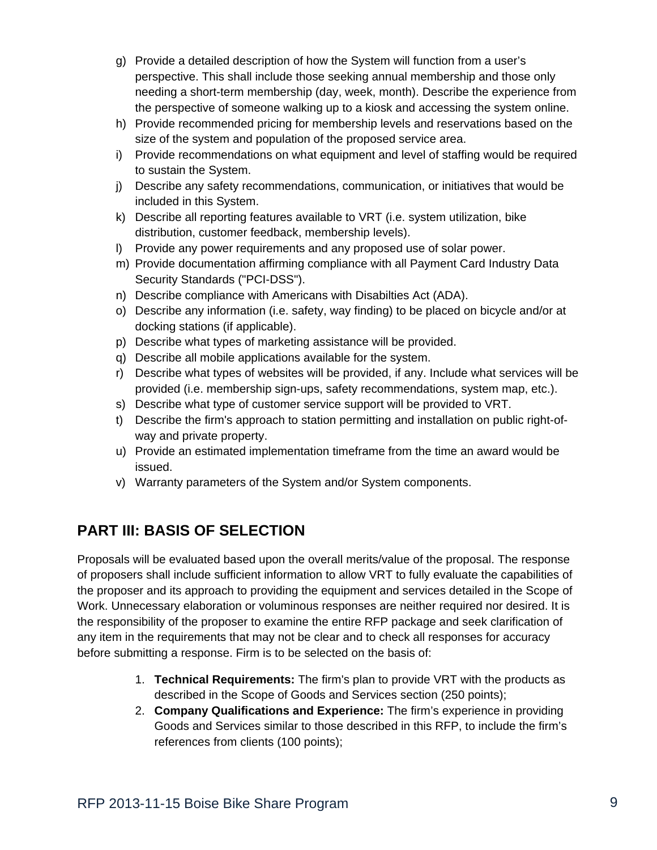- g) Provide a detailed description of how the System will function from a user's perspective. This shall include those seeking annual membership and those only needing a short-term membership (day, week, month). Describe the experience from the perspective of someone walking up to a kiosk and accessing the system online.
- h) Provide recommended pricing for membership levels and reservations based on the size of the system and population of the proposed service area.
- i) Provide recommendations on what equipment and level of staffing would be required to sustain the System.
- j) Describe any safety recommendations, communication, or initiatives that would be included in this System.
- k) Describe all reporting features available to VRT (i.e. system utilization, bike distribution, customer feedback, membership levels).
- l) Provide any power requirements and any proposed use of solar power.
- m) Provide documentation affirming compliance with all Payment Card Industry Data Security Standards ("PCI-DSS").
- n) Describe compliance with Americans with Disabilties Act (ADA).
- o) Describe any information (i.e. safety, way finding) to be placed on bicycle and/or at docking stations (if applicable).
- p) Describe what types of marketing assistance will be provided.
- q) Describe all mobile applications available for the system.
- r) Describe what types of websites will be provided, if any. Include what services will be provided (i.e. membership sign-ups, safety recommendations, system map, etc.).
- s) Describe what type of customer service support will be provided to VRT.
- t) Describe the firm's approach to station permitting and installation on public right-ofway and private property.
- u) Provide an estimated implementation timeframe from the time an award would be issued.
- v) Warranty parameters of the System and/or System components.

# **PART III: BASIS OF SELECTION**

Proposals will be evaluated based upon the overall merits/value of the proposal. The response of proposers shall include sufficient information to allow VRT to fully evaluate the capabilities of the proposer and its approach to providing the equipment and services detailed in the Scope of Work. Unnecessary elaboration or voluminous responses are neither required nor desired. It is the responsibility of the proposer to examine the entire RFP package and seek clarification of any item in the requirements that may not be clear and to check all responses for accuracy before submitting a response. Firm is to be selected on the basis of:

- 1. **Technical Requirements:** The firm's plan to provide VRT with the products as described in the Scope of Goods and Services section (250 points);
- 2. **Company Qualifications and Experience:** The firm's experience in providing Goods and Services similar to those described in this RFP, to include the firm's references from clients (100 points);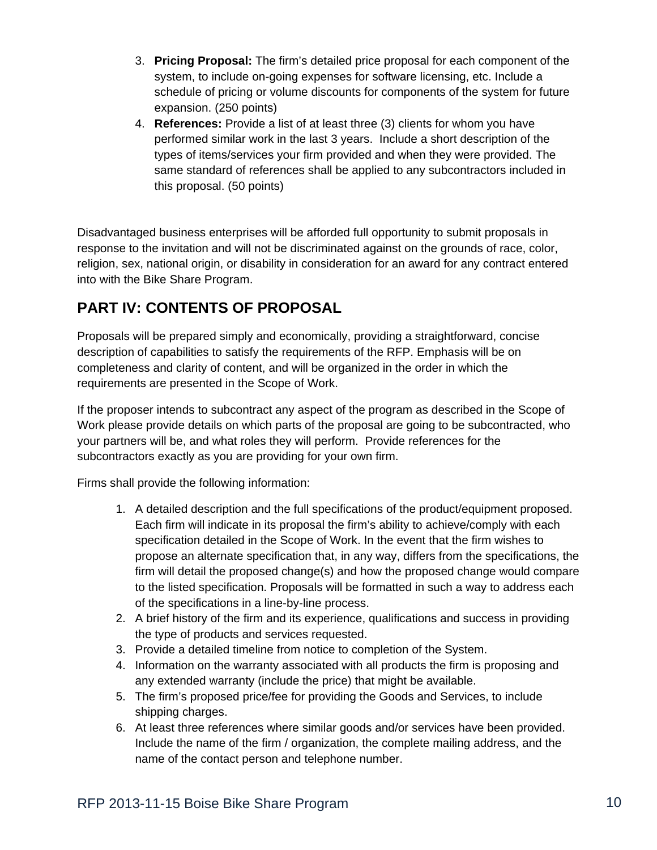- 3. **Pricing Proposal:** The firm's detailed price proposal for each component of the system, to include on-going expenses for software licensing, etc. Include a schedule of pricing or volume discounts for components of the system for future expansion. (250 points)
- 4. **References:** Provide a list of at least three (3) clients for whom you have performed similar work in the last 3 years. Include a short description of the types of items/services your firm provided and when they were provided. The same standard of references shall be applied to any subcontractors included in this proposal. (50 points)

Disadvantaged business enterprises will be afforded full opportunity to submit proposals in response to the invitation and will not be discriminated against on the grounds of race, color, religion, sex, national origin, or disability in consideration for an award for any contract entered into with the Bike Share Program.

# **PART IV: CONTENTS OF PROPOSAL**

Proposals will be prepared simply and economically, providing a straightforward, concise description of capabilities to satisfy the requirements of the RFP. Emphasis will be on completeness and clarity of content, and will be organized in the order in which the requirements are presented in the Scope of Work.

If the proposer intends to subcontract any aspect of the program as described in the Scope of Work please provide details on which parts of the proposal are going to be subcontracted, who your partners will be, and what roles they will perform. Provide references for the subcontractors exactly as you are providing for your own firm.

Firms shall provide the following information:

- 1. A detailed description and the full specifications of the product/equipment proposed. Each firm will indicate in its proposal the firm's ability to achieve/comply with each specification detailed in the Scope of Work. In the event that the firm wishes to propose an alternate specification that, in any way, differs from the specifications, the firm will detail the proposed change(s) and how the proposed change would compare to the listed specification. Proposals will be formatted in such a way to address each of the specifications in a line-by-line process.
- 2. A brief history of the firm and its experience, qualifications and success in providing the type of products and services requested.
- 3. Provide a detailed timeline from notice to completion of the System.
- 4. Information on the warranty associated with all products the firm is proposing and any extended warranty (include the price) that might be available.
- 5. The firm's proposed price/fee for providing the Goods and Services, to include shipping charges.
- 6. At least three references where similar goods and/or services have been provided. Include the name of the firm / organization, the complete mailing address, and the name of the contact person and telephone number.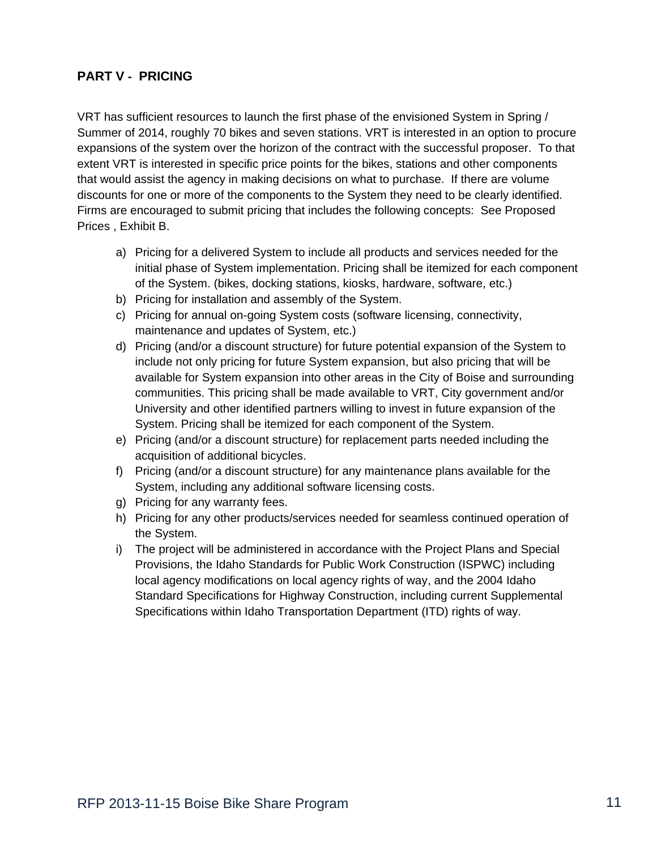## **PART V - PRICING**

VRT has sufficient resources to launch the first phase of the envisioned System in Spring / Summer of 2014, roughly 70 bikes and seven stations. VRT is interested in an option to procure expansions of the system over the horizon of the contract with the successful proposer. To that extent VRT is interested in specific price points for the bikes, stations and other components that would assist the agency in making decisions on what to purchase. If there are volume discounts for one or more of the components to the System they need to be clearly identified. Firms are encouraged to submit pricing that includes the following concepts: See Proposed Prices , Exhibit B.

- a) Pricing for a delivered System to include all products and services needed for the initial phase of System implementation. Pricing shall be itemized for each component of the System. (bikes, docking stations, kiosks, hardware, software, etc.)
- b) Pricing for installation and assembly of the System.
- c) Pricing for annual on-going System costs (software licensing, connectivity, maintenance and updates of System, etc.)
- d) Pricing (and/or a discount structure) for future potential expansion of the System to include not only pricing for future System expansion, but also pricing that will be available for System expansion into other areas in the City of Boise and surrounding communities. This pricing shall be made available to VRT, City government and/or University and other identified partners willing to invest in future expansion of the System. Pricing shall be itemized for each component of the System.
- e) Pricing (and/or a discount structure) for replacement parts needed including the acquisition of additional bicycles.
- f) Pricing (and/or a discount structure) for any maintenance plans available for the System, including any additional software licensing costs.
- g) Pricing for any warranty fees.
- h) Pricing for any other products/services needed for seamless continued operation of the System.
- i) The project will be administered in accordance with the Project Plans and Special Provisions, the Idaho Standards for Public Work Construction (ISPWC) including local agency modifications on local agency rights of way, and the 2004 Idaho Standard Specifications for Highway Construction, including current Supplemental Specifications within Idaho Transportation Department (ITD) rights of way.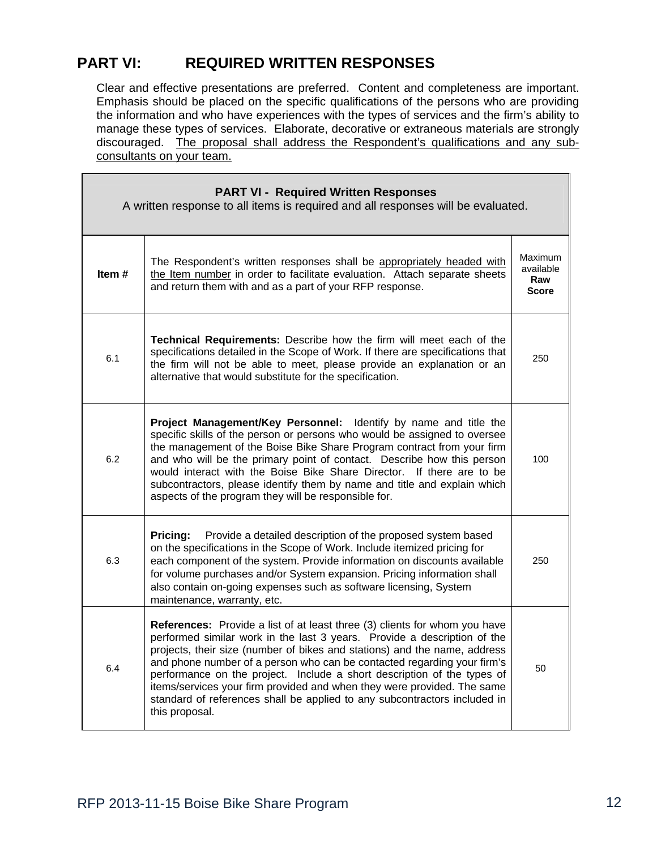# **PART VI: REQUIRED WRITTEN RESPONSES**

Clear and effective presentations are preferred. Content and completeness are important. Emphasis should be placed on the specific qualifications of the persons who are providing the information and who have experiences with the types of services and the firm's ability to manage these types of services. Elaborate, decorative or extraneous materials are strongly discouraged. The proposal shall address the Respondent's qualifications and any subconsultants on your team.

| <b>PART VI - Required Written Responses</b><br>A written response to all items is required and all responses will be evaluated. |                                                                                                                                                                                                                                                                                                                                                                                                                                                                                                                                                                     |     |  |  |
|---------------------------------------------------------------------------------------------------------------------------------|---------------------------------------------------------------------------------------------------------------------------------------------------------------------------------------------------------------------------------------------------------------------------------------------------------------------------------------------------------------------------------------------------------------------------------------------------------------------------------------------------------------------------------------------------------------------|-----|--|--|
| Item#                                                                                                                           | Maximum<br>The Respondent's written responses shall be appropriately headed with<br>available<br>the Item number in order to facilitate evaluation. Attach separate sheets<br>Raw<br>and return them with and as a part of your RFP response.<br><b>Score</b>                                                                                                                                                                                                                                                                                                       |     |  |  |
| 6.1                                                                                                                             | <b>Technical Requirements:</b> Describe how the firm will meet each of the<br>specifications detailed in the Scope of Work. If there are specifications that<br>the firm will not be able to meet, please provide an explanation or an<br>alternative that would substitute for the specification.                                                                                                                                                                                                                                                                  | 250 |  |  |
| 6.2                                                                                                                             | Project Management/Key Personnel: Identify by name and title the<br>specific skills of the person or persons who would be assigned to oversee<br>the management of the Boise Bike Share Program contract from your firm<br>and who will be the primary point of contact. Describe how this person<br>would interact with the Boise Bike Share Director. If there are to be<br>subcontractors, please identify them by name and title and explain which<br>aspects of the program they will be responsible for.                                                      | 100 |  |  |
| 6.3                                                                                                                             | Pricing:<br>Provide a detailed description of the proposed system based<br>on the specifications in the Scope of Work. Include itemized pricing for<br>each component of the system. Provide information on discounts available<br>for volume purchases and/or System expansion. Pricing information shall<br>also contain on-going expenses such as software licensing, System<br>maintenance, warranty, etc.                                                                                                                                                      | 250 |  |  |
| 6.4                                                                                                                             | References: Provide a list of at least three (3) clients for whom you have<br>performed similar work in the last 3 years. Provide a description of the<br>projects, their size (number of bikes and stations) and the name, address<br>and phone number of a person who can be contacted regarding your firm's<br>performance on the project. Include a short description of the types of<br>items/services your firm provided and when they were provided. The same<br>standard of references shall be applied to any subcontractors included in<br>this proposal. | 50  |  |  |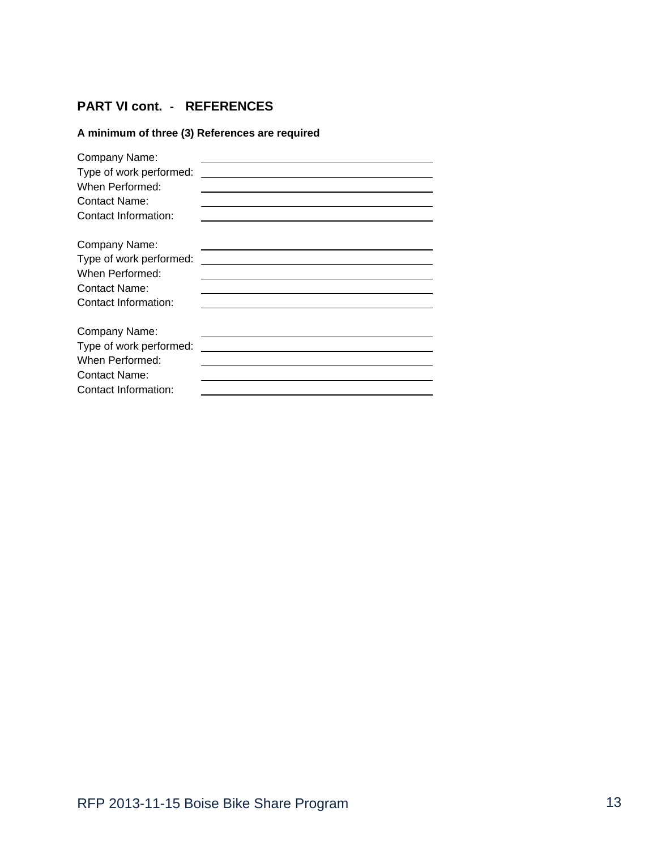## **PART VI cont. - REFERENCES**

## **A minimum of three (3) References are required**

| Company Name:           |  |
|-------------------------|--|
| Type of work performed: |  |
| When Performed:         |  |
| <b>Contact Name:</b>    |  |
| Contact Information:    |  |
| Company Name:           |  |
| Type of work performed: |  |
| When Performed:         |  |
| Contact Name:           |  |
| Contact Information:    |  |
| Company Name:           |  |
| Type of work performed: |  |
| When Performed:         |  |
| <b>Contact Name:</b>    |  |
| Contact Information:    |  |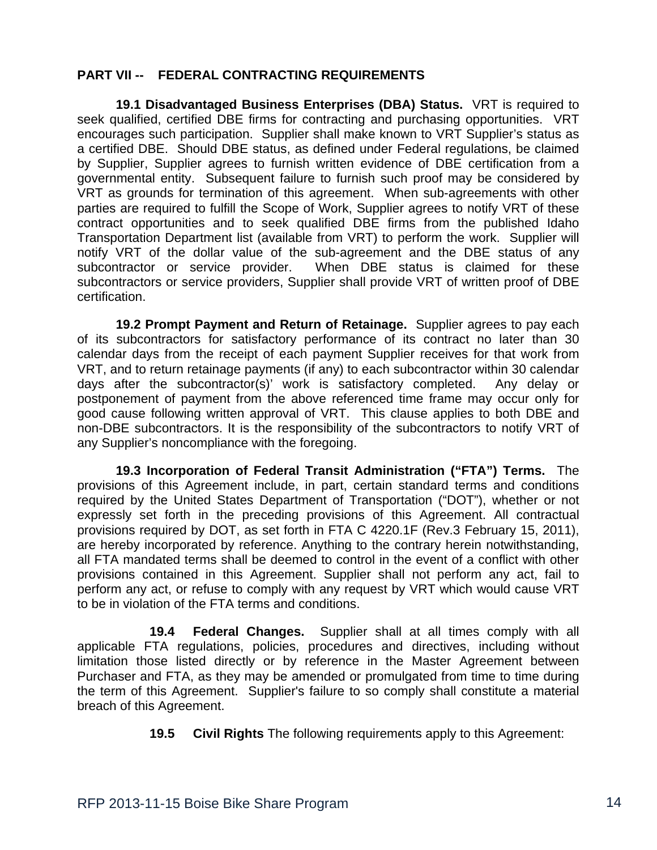## **PART VII -- FEDERAL CONTRACTING REQUIREMENTS**

**19.1 Disadvantaged Business Enterprises (DBA) Status.** VRT is required to seek qualified, certified DBE firms for contracting and purchasing opportunities. VRT encourages such participation. Supplier shall make known to VRT Supplier's status as a certified DBE. Should DBE status, as defined under Federal regulations, be claimed by Supplier, Supplier agrees to furnish written evidence of DBE certification from a governmental entity. Subsequent failure to furnish such proof may be considered by VRT as grounds for termination of this agreement. When sub-agreements with other parties are required to fulfill the Scope of Work, Supplier agrees to notify VRT of these contract opportunities and to seek qualified DBE firms from the published Idaho Transportation Department list (available from VRT) to perform the work. Supplier will notify VRT of the dollar value of the sub-agreement and the DBE status of any subcontractor or service provider. When DBE status is claimed for these subcontractors or service providers, Supplier shall provide VRT of written proof of DBE certification.

 **19.2 Prompt Payment and Return of Retainage.** Supplier agrees to pay each of its subcontractors for satisfactory performance of its contract no later than 30 calendar days from the receipt of each payment Supplier receives for that work from VRT, and to return retainage payments (if any) to each subcontractor within 30 calendar days after the subcontractor(s)' work is satisfactory completed. Any delay or postponement of payment from the above referenced time frame may occur only for good cause following written approval of VRT. This clause applies to both DBE and non-DBE subcontractors. It is the responsibility of the subcontractors to notify VRT of any Supplier's noncompliance with the foregoing.

 **19.3 Incorporation of Federal Transit Administration ("FTA") Terms.** The provisions of this Agreement include, in part, certain standard terms and conditions required by the United States Department of Transportation ("DOT"), whether or not expressly set forth in the preceding provisions of this Agreement. All contractual provisions required by DOT, as set forth in FTA C 4220.1F (Rev.3 February 15, 2011), are hereby incorporated by reference. Anything to the contrary herein notwithstanding, all FTA mandated terms shall be deemed to control in the event of a conflict with other provisions contained in this Agreement. Supplier shall not perform any act, fail to perform any act, or refuse to comply with any request by VRT which would cause VRT to be in violation of the FTA terms and conditions.

**19.4 Federal Changes.** Supplier shall at all times comply with all applicable FTA regulations, policies, procedures and directives, including without limitation those listed directly or by reference in the Master Agreement between Purchaser and FTA, as they may be amended or promulgated from time to time during the term of this Agreement. Supplier's failure to so comply shall constitute a material breach of this Agreement.

**19.5 Civil Rights** The following requirements apply to this Agreement: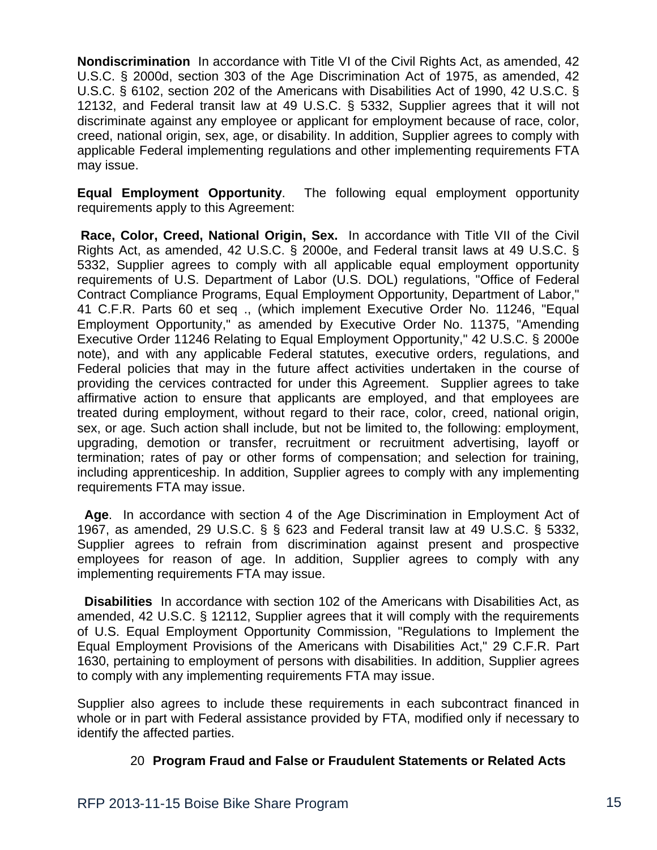**Nondiscrimination** In accordance with Title VI of the Civil Rights Act, as amended, 42 U.S.C. § 2000d, section 303 of the Age Discrimination Act of 1975, as amended, 42 U.S.C. § 6102, section 202 of the Americans with Disabilities Act of 1990, 42 U.S.C. § 12132, and Federal transit law at 49 U.S.C. § 5332, Supplier agrees that it will not discriminate against any employee or applicant for employment because of race, color, creed, national origin, sex, age, or disability. In addition, Supplier agrees to comply with applicable Federal implementing regulations and other implementing requirements FTA may issue.

**Equal Employment Opportunity**. The following equal employment opportunity requirements apply to this Agreement:

 **Race, Color, Creed, National Origin, Sex.** In accordance with Title VII of the Civil Rights Act, as amended, 42 U.S.C. § 2000e, and Federal transit laws at 49 U.S.C. § 5332, Supplier agrees to comply with all applicable equal employment opportunity requirements of U.S. Department of Labor (U.S. DOL) regulations, "Office of Federal Contract Compliance Programs, Equal Employment Opportunity, Department of Labor," 41 C.F.R. Parts 60 et seq ., (which implement Executive Order No. 11246, "Equal Employment Opportunity," as amended by Executive Order No. 11375, "Amending Executive Order 11246 Relating to Equal Employment Opportunity," 42 U.S.C. § 2000e note), and with any applicable Federal statutes, executive orders, regulations, and Federal policies that may in the future affect activities undertaken in the course of providing the cervices contracted for under this Agreement. Supplier agrees to take affirmative action to ensure that applicants are employed, and that employees are treated during employment, without regard to their race, color, creed, national origin, sex, or age. Such action shall include, but not be limited to, the following: employment, upgrading, demotion or transfer, recruitment or recruitment advertising, layoff or termination; rates of pay or other forms of compensation; and selection for training, including apprenticeship. In addition, Supplier agrees to comply with any implementing requirements FTA may issue.

 **Age**. In accordance with section 4 of the Age Discrimination in Employment Act of 1967, as amended, 29 U.S.C. § § 623 and Federal transit law at 49 U.S.C. § 5332, Supplier agrees to refrain from discrimination against present and prospective employees for reason of age. In addition, Supplier agrees to comply with any implementing requirements FTA may issue.

 **Disabilities** In accordance with section 102 of the Americans with Disabilities Act, as amended, 42 U.S.C. § 12112, Supplier agrees that it will comply with the requirements of U.S. Equal Employment Opportunity Commission, "Regulations to Implement the Equal Employment Provisions of the Americans with Disabilities Act," 29 C.F.R. Part 1630, pertaining to employment of persons with disabilities. In addition, Supplier agrees to comply with any implementing requirements FTA may issue.

Supplier also agrees to include these requirements in each subcontract financed in whole or in part with Federal assistance provided by FTA, modified only if necessary to identify the affected parties.

## 20 **Program Fraud and False or Fraudulent Statements or Related Acts**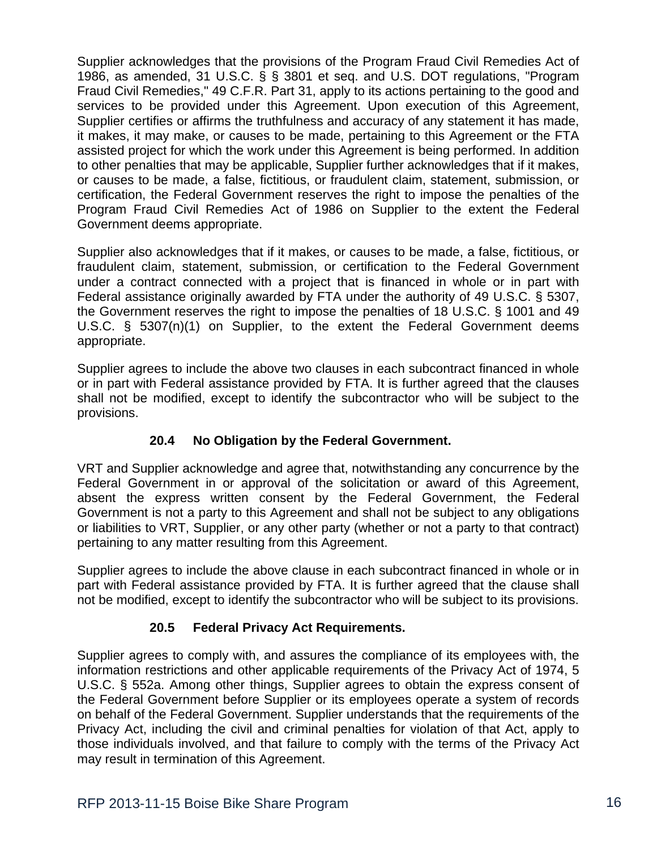Supplier acknowledges that the provisions of the Program Fraud Civil Remedies Act of 1986, as amended, 31 U.S.C. § § 3801 et seq. and U.S. DOT regulations, "Program Fraud Civil Remedies," 49 C.F.R. Part 31, apply to its actions pertaining to the good and services to be provided under this Agreement. Upon execution of this Agreement, Supplier certifies or affirms the truthfulness and accuracy of any statement it has made, it makes, it may make, or causes to be made, pertaining to this Agreement or the FTA assisted project for which the work under this Agreement is being performed. In addition to other penalties that may be applicable, Supplier further acknowledges that if it makes, or causes to be made, a false, fictitious, or fraudulent claim, statement, submission, or certification, the Federal Government reserves the right to impose the penalties of the Program Fraud Civil Remedies Act of 1986 on Supplier to the extent the Federal Government deems appropriate.

Supplier also acknowledges that if it makes, or causes to be made, a false, fictitious, or fraudulent claim, statement, submission, or certification to the Federal Government under a contract connected with a project that is financed in whole or in part with Federal assistance originally awarded by FTA under the authority of 49 U.S.C. § 5307, the Government reserves the right to impose the penalties of 18 U.S.C. § 1001 and 49 U.S.C. § 5307(n)(1) on Supplier, to the extent the Federal Government deems appropriate.

Supplier agrees to include the above two clauses in each subcontract financed in whole or in part with Federal assistance provided by FTA. It is further agreed that the clauses shall not be modified, except to identify the subcontractor who will be subject to the provisions.

## **20.4 No Obligation by the Federal Government.**

VRT and Supplier acknowledge and agree that, notwithstanding any concurrence by the Federal Government in or approval of the solicitation or award of this Agreement, absent the express written consent by the Federal Government, the Federal Government is not a party to this Agreement and shall not be subject to any obligations or liabilities to VRT, Supplier, or any other party (whether or not a party to that contract) pertaining to any matter resulting from this Agreement.

Supplier agrees to include the above clause in each subcontract financed in whole or in part with Federal assistance provided by FTA. It is further agreed that the clause shall not be modified, except to identify the subcontractor who will be subject to its provisions.

# **20.5 Federal Privacy Act Requirements.**

Supplier agrees to comply with, and assures the compliance of its employees with, the information restrictions and other applicable requirements of the Privacy Act of 1974, 5 U.S.C. § 552a. Among other things, Supplier agrees to obtain the express consent of the Federal Government before Supplier or its employees operate a system of records on behalf of the Federal Government. Supplier understands that the requirements of the Privacy Act, including the civil and criminal penalties for violation of that Act, apply to those individuals involved, and that failure to comply with the terms of the Privacy Act may result in termination of this Agreement.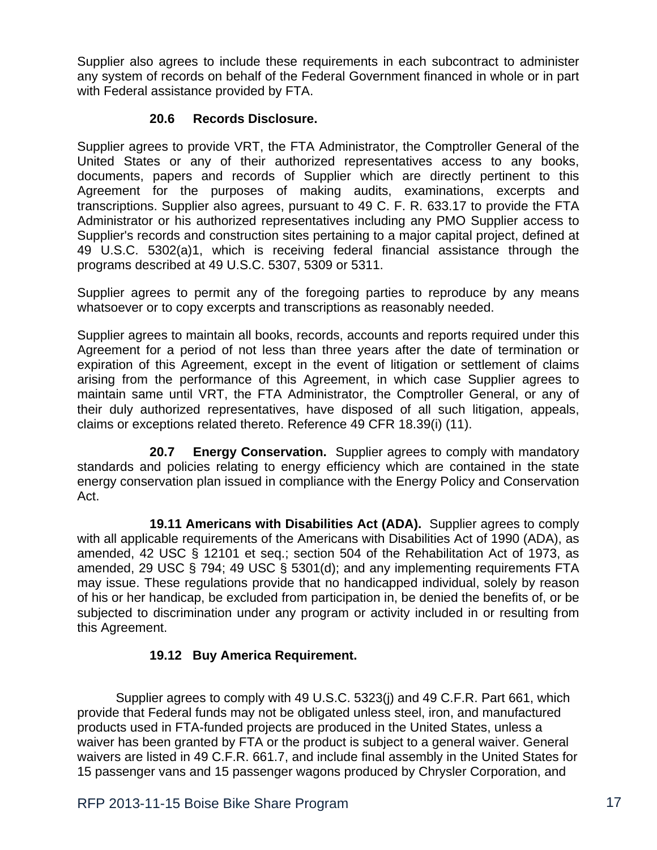Supplier also agrees to include these requirements in each subcontract to administer any system of records on behalf of the Federal Government financed in whole or in part with Federal assistance provided by FTA.

## **20.6 Records Disclosure.**

Supplier agrees to provide VRT, the FTA Administrator, the Comptroller General of the United States or any of their authorized representatives access to any books, documents, papers and records of Supplier which are directly pertinent to this Agreement for the purposes of making audits, examinations, excerpts and transcriptions. Supplier also agrees, pursuant to 49 C. F. R. 633.17 to provide the FTA Administrator or his authorized representatives including any PMO Supplier access to Supplier's records and construction sites pertaining to a major capital project, defined at 49 U.S.C. 5302(a)1, which is receiving federal financial assistance through the programs described at 49 U.S.C. 5307, 5309 or 5311.

Supplier agrees to permit any of the foregoing parties to reproduce by any means whatsoever or to copy excerpts and transcriptions as reasonably needed.

Supplier agrees to maintain all books, records, accounts and reports required under this Agreement for a period of not less than three years after the date of termination or expiration of this Agreement, except in the event of litigation or settlement of claims arising from the performance of this Agreement, in which case Supplier agrees to maintain same until VRT, the FTA Administrator, the Comptroller General, or any of their duly authorized representatives, have disposed of all such litigation, appeals, claims or exceptions related thereto. Reference 49 CFR 18.39(i) (11).

**20.7 Energy Conservation.** Supplier agrees to comply with mandatory standards and policies relating to energy efficiency which are contained in the state energy conservation plan issued in compliance with the Energy Policy and Conservation Act.

**19.11 Americans with Disabilities Act (ADA).** Supplier agrees to comply with all applicable requirements of the Americans with Disabilities Act of 1990 (ADA), as amended, 42 USC § 12101 et seq.; section 504 of the Rehabilitation Act of 1973, as amended, 29 USC § 794; 49 USC § 5301(d); and any implementing requirements FTA may issue. These regulations provide that no handicapped individual, solely by reason of his or her handicap, be excluded from participation in, be denied the benefits of, or be subjected to discrimination under any program or activity included in or resulting from this Agreement.

## **19.12 Buy America Requirement.**

Supplier agrees to comply with 49 U.S.C. 5323(j) and 49 C.F.R. Part 661, which provide that Federal funds may not be obligated unless steel, iron, and manufactured products used in FTA-funded projects are produced in the United States, unless a waiver has been granted by FTA or the product is subject to a general waiver. General waivers are listed in 49 C.F.R. 661.7, and include final assembly in the United States for 15 passenger vans and 15 passenger wagons produced by Chrysler Corporation, and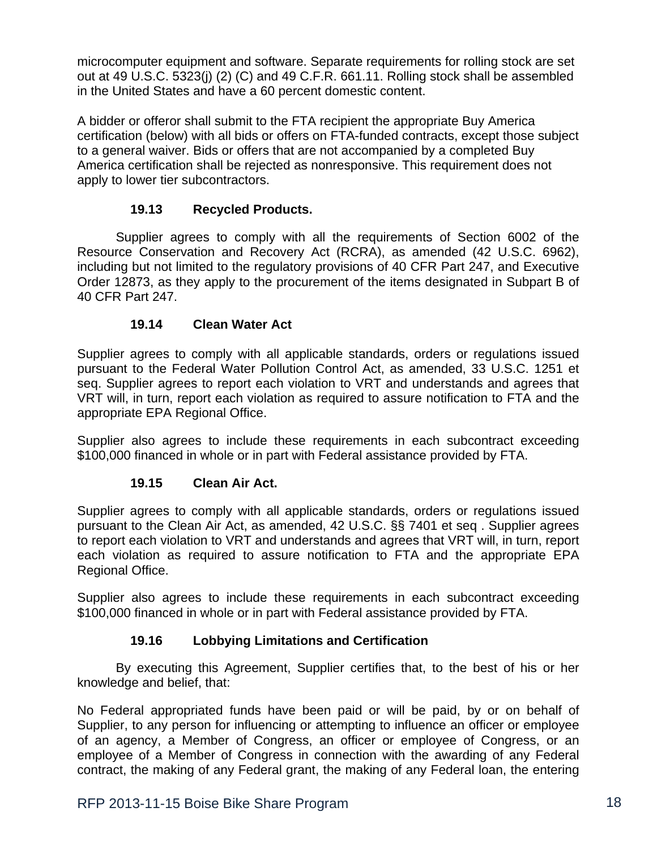microcomputer equipment and software. Separate requirements for rolling stock are set out at 49 U.S.C. 5323(j) (2) (C) and 49 C.F.R. 661.11. Rolling stock shall be assembled in the United States and have a 60 percent domestic content.

A bidder or offeror shall submit to the FTA recipient the appropriate Buy America certification (below) with all bids or offers on FTA-funded contracts, except those subject to a general waiver. Bids or offers that are not accompanied by a completed Buy America certification shall be rejected as nonresponsive. This requirement does not apply to lower tier subcontractors.

## **19.13 Recycled Products.**

Supplier agrees to comply with all the requirements of Section 6002 of the Resource Conservation and Recovery Act (RCRA), as amended (42 U.S.C. 6962), including but not limited to the regulatory provisions of 40 CFR Part 247, and Executive Order 12873, as they apply to the procurement of the items designated in Subpart B of 40 CFR Part 247.

## **19.14 Clean Water Act**

Supplier agrees to comply with all applicable standards, orders or regulations issued pursuant to the Federal Water Pollution Control Act, as amended, 33 U.S.C. 1251 et seq. Supplier agrees to report each violation to VRT and understands and agrees that VRT will, in turn, report each violation as required to assure notification to FTA and the appropriate EPA Regional Office.

Supplier also agrees to include these requirements in each subcontract exceeding \$100,000 financed in whole or in part with Federal assistance provided by FTA.

## **19.15 Clean Air Act.**

Supplier agrees to comply with all applicable standards, orders or regulations issued pursuant to the Clean Air Act, as amended, 42 U.S.C. §§ 7401 et seq . Supplier agrees to report each violation to VRT and understands and agrees that VRT will, in turn, report each violation as required to assure notification to FTA and the appropriate EPA Regional Office.

Supplier also agrees to include these requirements in each subcontract exceeding \$100,000 financed in whole or in part with Federal assistance provided by FTA.

## **19.16 Lobbying Limitations and Certification**

By executing this Agreement, Supplier certifies that, to the best of his or her knowledge and belief, that:

No Federal appropriated funds have been paid or will be paid, by or on behalf of Supplier, to any person for influencing or attempting to influence an officer or employee of an agency, a Member of Congress, an officer or employee of Congress, or an employee of a Member of Congress in connection with the awarding of any Federal contract, the making of any Federal grant, the making of any Federal loan, the entering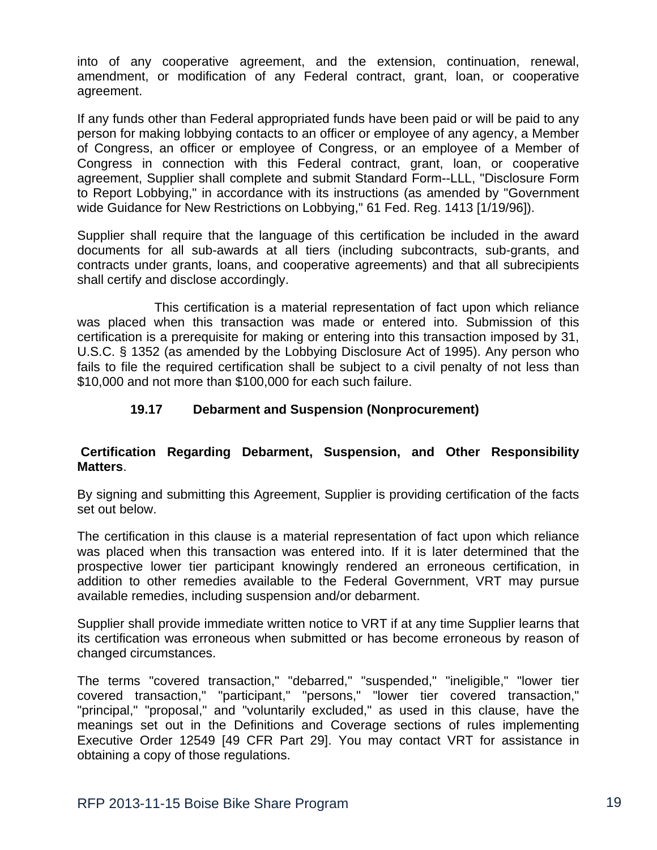into of any cooperative agreement, and the extension, continuation, renewal, amendment, or modification of any Federal contract, grant, loan, or cooperative agreement.

If any funds other than Federal appropriated funds have been paid or will be paid to any person for making lobbying contacts to an officer or employee of any agency, a Member of Congress, an officer or employee of Congress, or an employee of a Member of Congress in connection with this Federal contract, grant, loan, or cooperative agreement, Supplier shall complete and submit Standard Form--LLL, "Disclosure Form to Report Lobbying," in accordance with its instructions (as amended by "Government wide Guidance for New Restrictions on Lobbying," 61 Fed. Reg. 1413 [1/19/96]).

Supplier shall require that the language of this certification be included in the award documents for all sub-awards at all tiers (including subcontracts, sub-grants, and contracts under grants, loans, and cooperative agreements) and that all subrecipients shall certify and disclose accordingly.

 This certification is a material representation of fact upon which reliance was placed when this transaction was made or entered into. Submission of this certification is a prerequisite for making or entering into this transaction imposed by 31, U.S.C. § 1352 (as amended by the Lobbying Disclosure Act of 1995). Any person who fails to file the required certification shall be subject to a civil penalty of not less than \$10,000 and not more than \$100,000 for each such failure.

## **19.17 Debarment and Suspension (Nonprocurement)**

## **Certification Regarding Debarment, Suspension, and Other Responsibility Matters**.

By signing and submitting this Agreement, Supplier is providing certification of the facts set out below.

The certification in this clause is a material representation of fact upon which reliance was placed when this transaction was entered into. If it is later determined that the prospective lower tier participant knowingly rendered an erroneous certification, in addition to other remedies available to the Federal Government, VRT may pursue available remedies, including suspension and/or debarment.

Supplier shall provide immediate written notice to VRT if at any time Supplier learns that its certification was erroneous when submitted or has become erroneous by reason of changed circumstances.

The terms "covered transaction," "debarred," "suspended," "ineligible," "lower tier covered transaction," "participant," "persons," "lower tier covered transaction," "principal," "proposal," and "voluntarily excluded," as used in this clause, have the meanings set out in the Definitions and Coverage sections of rules implementing Executive Order 12549 [49 CFR Part 29]. You may contact VRT for assistance in obtaining a copy of those regulations.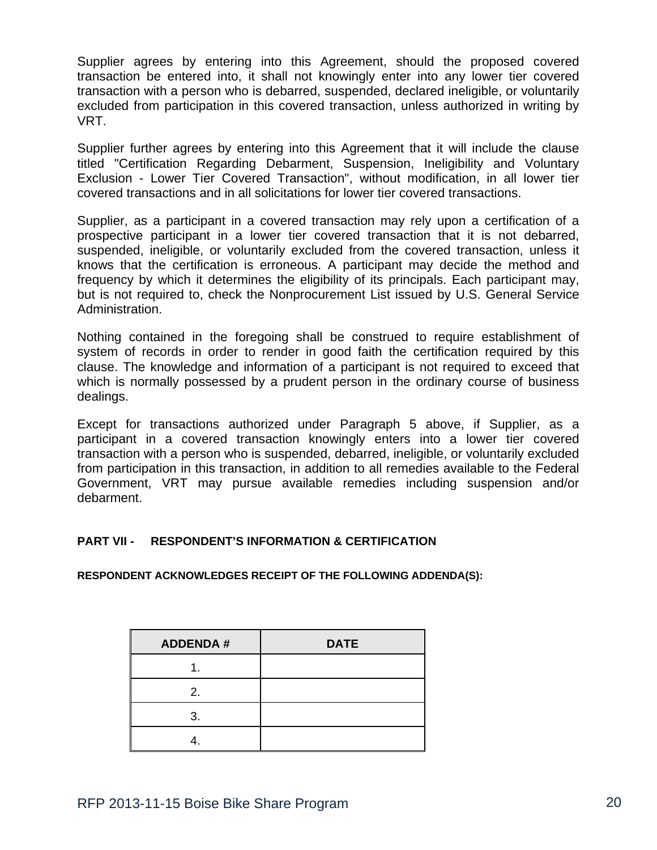Supplier agrees by entering into this Agreement, should the proposed covered transaction be entered into, it shall not knowingly enter into any lower tier covered transaction with a person who is debarred, suspended, declared ineligible, or voluntarily excluded from participation in this covered transaction, unless authorized in writing by VRT.

Supplier further agrees by entering into this Agreement that it will include the clause titled "Certification Regarding Debarment, Suspension, Ineligibility and Voluntary Exclusion - Lower Tier Covered Transaction", without modification, in all lower tier covered transactions and in all solicitations for lower tier covered transactions.

Supplier, as a participant in a covered transaction may rely upon a certification of a prospective participant in a lower tier covered transaction that it is not debarred, suspended, ineligible, or voluntarily excluded from the covered transaction, unless it knows that the certification is erroneous. A participant may decide the method and frequency by which it determines the eligibility of its principals. Each participant may, but is not required to, check the Nonprocurement List issued by U.S. General Service Administration.

Nothing contained in the foregoing shall be construed to require establishment of system of records in order to render in good faith the certification required by this clause. The knowledge and information of a participant is not required to exceed that which is normally possessed by a prudent person in the ordinary course of business dealings.

Except for transactions authorized under Paragraph 5 above, if Supplier, as a participant in a covered transaction knowingly enters into a lower tier covered transaction with a person who is suspended, debarred, ineligible, or voluntarily excluded from participation in this transaction, in addition to all remedies available to the Federal Government, VRT may pursue available remedies including suspension and/or debarment.

## **PART VII - RESPONDENT'S INFORMATION & CERTIFICATION**

**RESPONDENT ACKNOWLEDGES RECEIPT OF THE FOLLOWING ADDENDA(S):** 

| <b>ADDENDA#</b> | <b>DATE</b> |
|-----------------|-------------|
|                 |             |
| 2.              |             |
| 3.              |             |
|                 |             |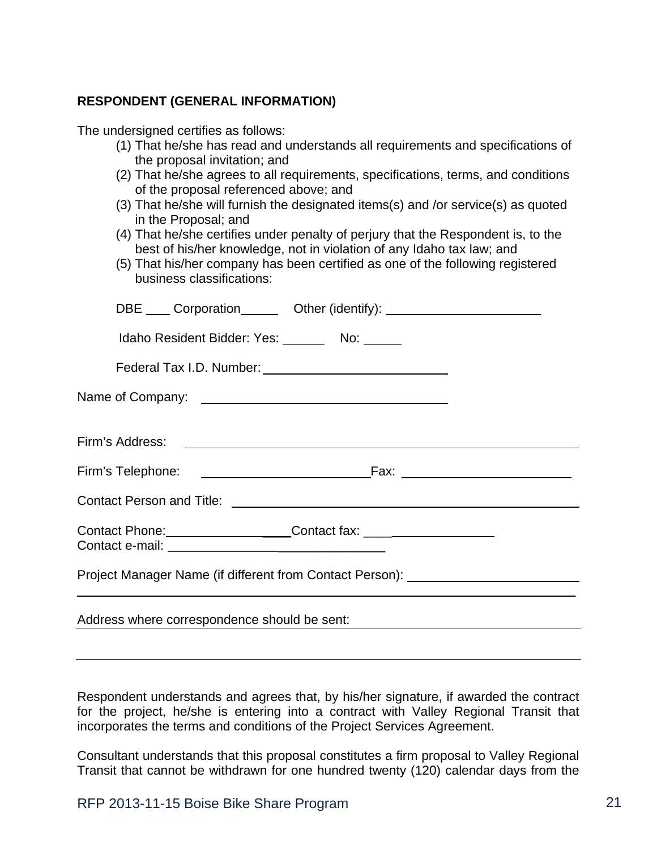## **RESPONDENT (GENERAL INFORMATION)**

The undersigned certifies as follows:

- (1) That he/she has read and understands all requirements and specifications of the proposal invitation; and
- (2) That he/she agrees to all requirements, specifications, terms, and conditions of the proposal referenced above; and
- (3) That he/she will furnish the designated items(s) and /or service(s) as quoted in the Proposal; and
- (4) That he/she certifies under penalty of perjury that the Respondent is, to the best of his/her knowledge, not in violation of any Idaho tax law; and
- (5) That his/her company has been certified as one of the following registered business classifications:

| DBE ____ Corporation________ Other (identify): _________________________________ |  |  |  |
|----------------------------------------------------------------------------------|--|--|--|
| Idaho Resident Bidder: Yes: No: No: No:                                          |  |  |  |
|                                                                                  |  |  |  |
|                                                                                  |  |  |  |
|                                                                                  |  |  |  |
|                                                                                  |  |  |  |
|                                                                                  |  |  |  |
|                                                                                  |  |  |  |
|                                                                                  |  |  |  |
| Project Manager Name (if different from Contact Person): _______________________ |  |  |  |
|                                                                                  |  |  |  |
| Address where correspondence should be sent:                                     |  |  |  |

Respondent understands and agrees that, by his/her signature, if awarded the contract for the project, he/she is entering into a contract with Valley Regional Transit that incorporates the terms and conditions of the Project Services Agreement.

Consultant understands that this proposal constitutes a firm proposal to Valley Regional Transit that cannot be withdrawn for one hundred twenty (120) calendar days from the

RFP 2013-11-15 Boise Bike Share Program 21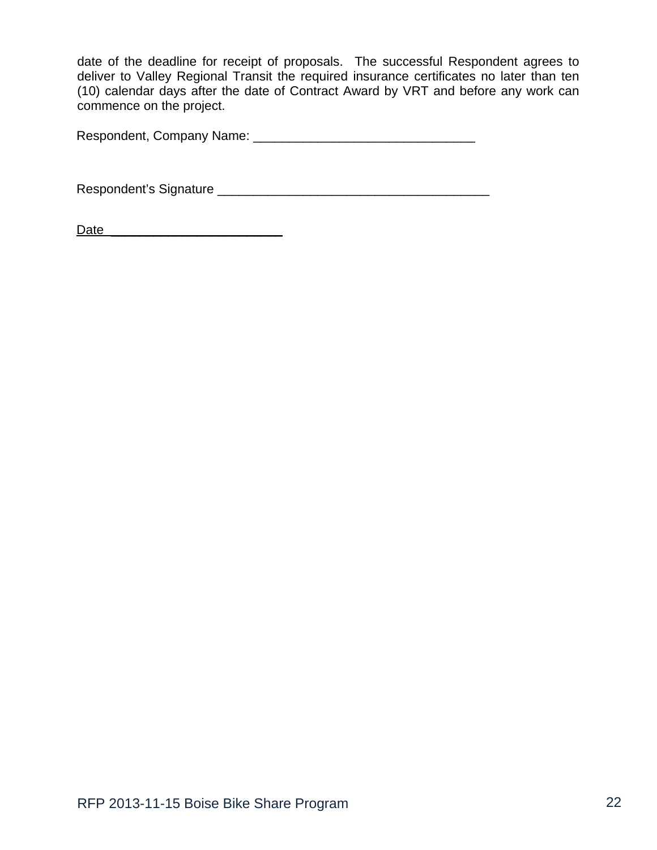date of the deadline for receipt of proposals. The successful Respondent agrees to deliver to Valley Regional Transit the required insurance certificates no later than ten (10) calendar days after the date of Contract Award by VRT and before any work can commence on the project.

Respondent, Company Name: \_\_\_\_\_\_\_\_\_\_\_\_\_\_\_\_\_\_\_\_\_\_\_\_\_\_\_\_\_\_\_

Respondent's Signature \_\_\_\_\_\_\_\_\_\_\_\_\_\_\_\_\_\_\_\_\_\_\_\_\_\_\_\_\_\_\_\_\_\_\_\_\_\_

Date \_\_\_\_\_\_\_\_\_\_\_\_\_\_\_\_\_\_\_\_\_\_\_\_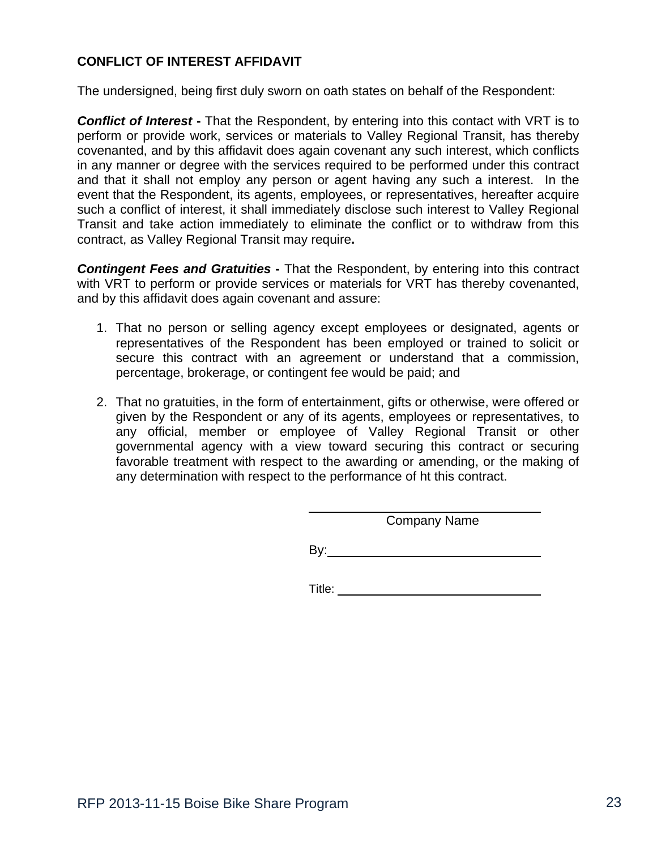## **CONFLICT OF INTEREST AFFIDAVIT**

The undersigned, being first duly sworn on oath states on behalf of the Respondent:

**Conflict of Interest** - That the Respondent, by entering into this contact with VRT is to perform or provide work, services or materials to Valley Regional Transit, has thereby covenanted, and by this affidavit does again covenant any such interest, which conflicts in any manner or degree with the services required to be performed under this contract and that it shall not employ any person or agent having any such a interest. In the event that the Respondent, its agents, employees, or representatives, hereafter acquire such a conflict of interest, it shall immediately disclose such interest to Valley Regional Transit and take action immediately to eliminate the conflict or to withdraw from this contract, as Valley Regional Transit may require**.** 

**Contingent Fees and Gratuities** - That the Respondent, by entering into this contract with VRT to perform or provide services or materials for VRT has thereby covenanted, and by this affidavit does again covenant and assure:

- 1. That no person or selling agency except employees or designated, agents or representatives of the Respondent has been employed or trained to solicit or secure this contract with an agreement or understand that a commission, percentage, brokerage, or contingent fee would be paid; and
- 2. That no gratuities, in the form of entertainment, gifts or otherwise, were offered or given by the Respondent or any of its agents, employees or representatives, to any official, member or employee of Valley Regional Transit or other governmental agency with a view toward securing this contract or securing favorable treatment with respect to the awarding or amending, or the making of any determination with respect to the performance of ht this contract.

Company Name

By:

Title: **The Community of the Community of the Community of the Community of the Community of the Community of the Community of the Community of the Community of the Community of the Community of the Community of the Commun**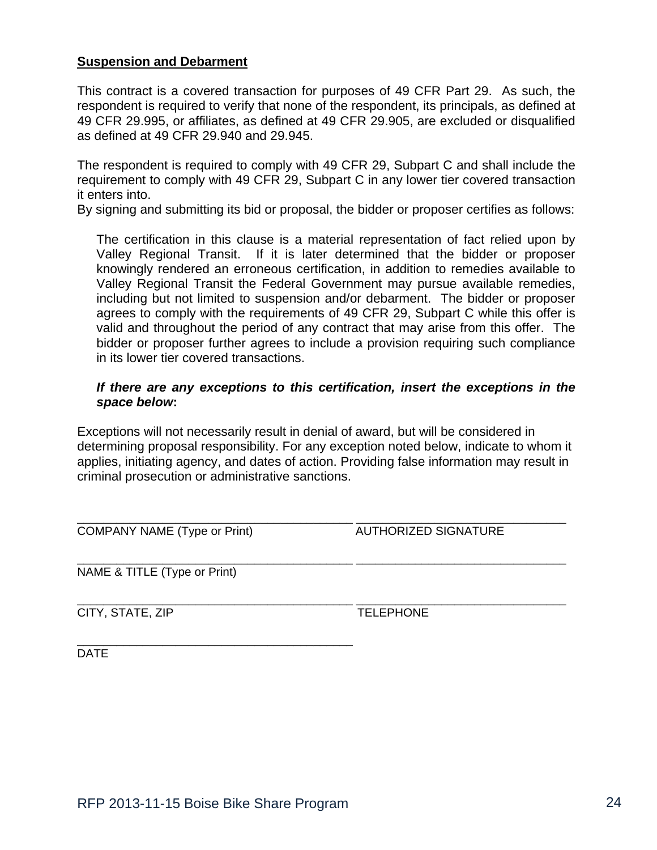## **Suspension and Debarment**

This contract is a covered transaction for purposes of 49 CFR Part 29. As such, the respondent is required to verify that none of the respondent, its principals, as defined at 49 CFR 29.995, or affiliates, as defined at 49 CFR 29.905, are excluded or disqualified as defined at 49 CFR 29.940 and 29.945.

The respondent is required to comply with 49 CFR 29, Subpart C and shall include the requirement to comply with 49 CFR 29, Subpart C in any lower tier covered transaction it enters into.

By signing and submitting its bid or proposal, the bidder or proposer certifies as follows:

The certification in this clause is a material representation of fact relied upon by Valley Regional Transit. If it is later determined that the bidder or proposer knowingly rendered an erroneous certification, in addition to remedies available to Valley Regional Transit the Federal Government may pursue available remedies, including but not limited to suspension and/or debarment. The bidder or proposer agrees to comply with the requirements of 49 CFR 29, Subpart C while this offer is valid and throughout the period of any contract that may arise from this offer. The bidder or proposer further agrees to include a provision requiring such compliance in its lower tier covered transactions.

## *If there are any exceptions to this certification, insert the exceptions in the space below***:**

Exceptions will not necessarily result in denial of award, but will be considered in determining proposal responsibility. For any exception noted below, indicate to whom it applies, initiating agency, and dates of action. Providing false information may result in criminal prosecution or administrative sanctions.

\_\_\_\_\_\_\_\_\_\_\_\_\_\_\_\_\_\_\_\_\_\_\_\_\_\_\_\_\_\_\_\_\_\_\_\_\_\_\_\_\_\_ \_\_\_\_\_\_\_\_\_\_\_\_\_\_\_\_\_\_\_\_\_\_\_\_\_\_\_\_\_\_\_\_

COMPANY NAME (Type or Print) AUTHORIZED SIGNATURE

\_\_\_\_\_\_\_\_\_\_\_\_\_\_\_\_\_\_\_\_\_\_\_\_\_\_\_\_\_\_\_\_\_\_\_\_\_\_\_\_\_\_ \_\_\_\_\_\_\_\_\_\_\_\_\_\_\_\_\_\_\_\_\_\_\_\_\_\_\_\_\_\_\_\_

NAME & TITLE (Type or Print)

CITY, STATE, ZIP TELEPHONE

\_\_\_\_\_\_\_\_\_\_\_\_\_\_\_\_\_\_\_\_\_\_\_\_\_\_\_\_\_\_\_\_\_\_\_\_\_\_\_\_\_\_ \_\_\_\_\_\_\_\_\_\_\_\_\_\_\_\_\_\_\_\_\_\_\_\_\_\_\_\_\_\_\_\_

\_\_\_\_\_\_\_\_\_\_\_\_\_\_\_\_\_\_\_\_\_\_\_\_\_\_\_\_\_\_\_\_\_\_\_\_\_\_\_\_\_\_ DATE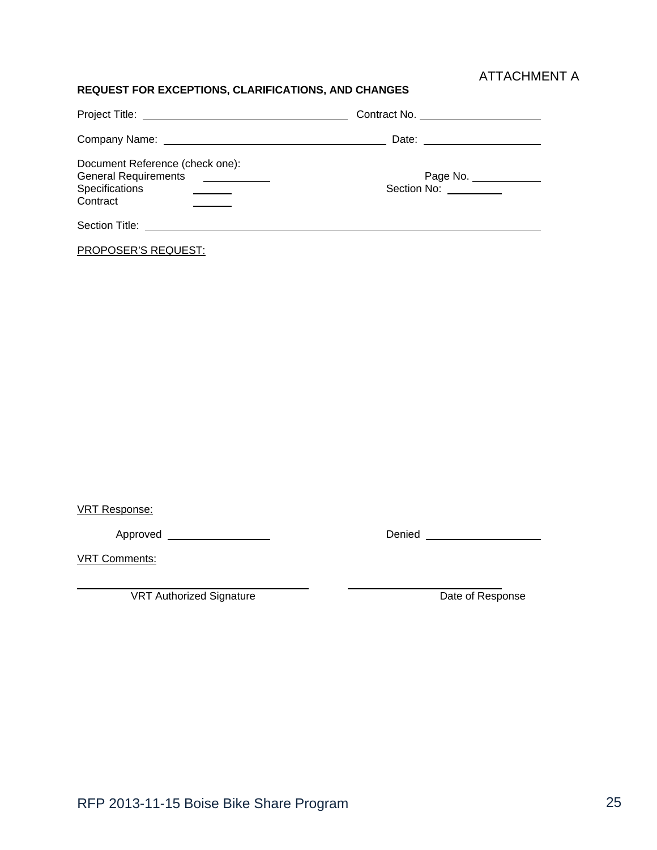## ATTACHMENT A

#### **REQUEST FOR EXCEPTIONS, CLARIFICATIONS, AND CHANGES**

|                                                                                              |  | Contract No.                                   |
|----------------------------------------------------------------------------------------------|--|------------------------------------------------|
|                                                                                              |  | Date: __________________                       |
| Document Reference (check one):<br><b>General Requirements</b><br>Specifications<br>Contract |  | Page No. ____________<br>Section No: Section 4 |
|                                                                                              |  |                                                |

PROPOSER'S REQUEST:

VRT Response:

Approved Denied

VRT Comments:

VRT Authorized Signature Date of Response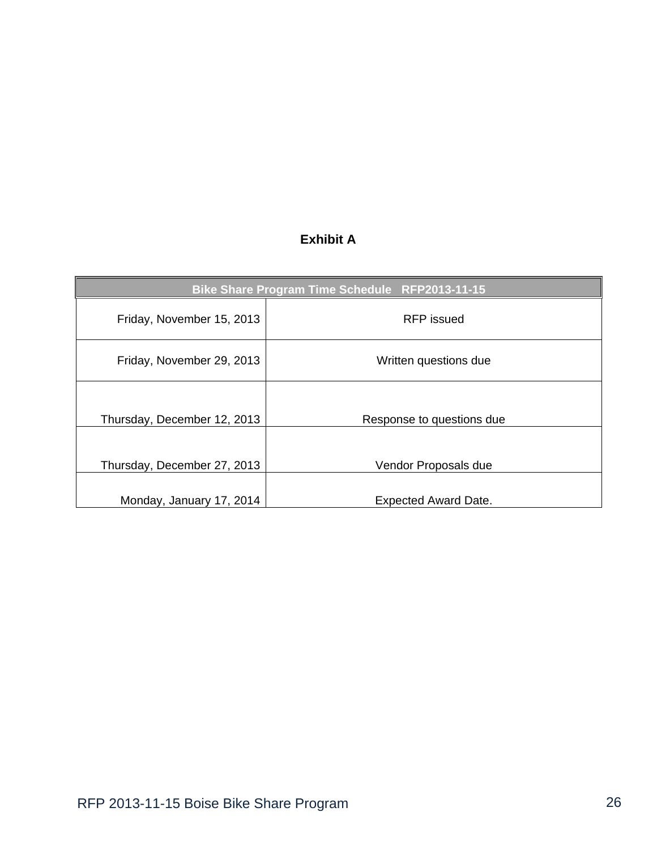# **Exhibit A**

| Bike Share Program Time Schedule RFP2013-11-15 |                             |  |  |
|------------------------------------------------|-----------------------------|--|--|
| Friday, November 15, 2013                      | <b>RFP</b> issued           |  |  |
| Friday, November 29, 2013                      | Written questions due       |  |  |
| Thursday, December 12, 2013                    | Response to questions due   |  |  |
| Thursday, December 27, 2013                    | Vendor Proposals due        |  |  |
| Monday, January 17, 2014                       | <b>Expected Award Date.</b> |  |  |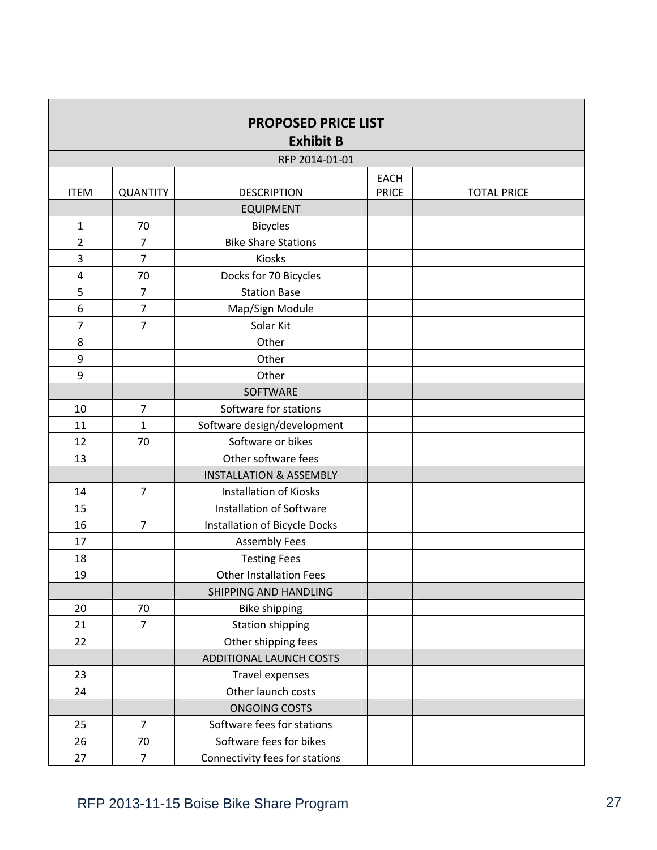| <b>PROPOSED PRICE LIST</b><br><b>Exhibit B</b> |                 |                                    |              |                    |
|------------------------------------------------|-----------------|------------------------------------|--------------|--------------------|
|                                                |                 | RFP 2014-01-01                     |              |                    |
|                                                |                 |                                    | <b>EACH</b>  |                    |
| <b>ITEM</b>                                    | <b>QUANTITY</b> | <b>DESCRIPTION</b>                 | <b>PRICE</b> | <b>TOTAL PRICE</b> |
|                                                |                 | <b>EQUIPMENT</b>                   |              |                    |
| $\mathbf{1}$                                   | 70              | <b>Bicycles</b>                    |              |                    |
| $\overline{2}$                                 | $\overline{7}$  | <b>Bike Share Stations</b>         |              |                    |
| 3                                              | $\overline{7}$  | <b>Kiosks</b>                      |              |                    |
| 4                                              | 70              | Docks for 70 Bicycles              |              |                    |
| 5                                              | $\overline{7}$  | <b>Station Base</b>                |              |                    |
| 6                                              | $\overline{7}$  | Map/Sign Module                    |              |                    |
| 7                                              | 7               | Solar Kit                          |              |                    |
| 8                                              |                 | Other                              |              |                    |
| 9                                              |                 | Other                              |              |                    |
| 9                                              |                 | Other                              |              |                    |
|                                                |                 | SOFTWARE                           |              |                    |
| 10                                             | $\overline{7}$  | Software for stations              |              |                    |
| 11                                             | $\mathbf{1}$    | Software design/development        |              |                    |
| 12                                             | 70              | Software or bikes                  |              |                    |
| 13                                             |                 | Other software fees                |              |                    |
|                                                |                 | <b>INSTALLATION &amp; ASSEMBLY</b> |              |                    |
| 14                                             | $\overline{7}$  | <b>Installation of Kiosks</b>      |              |                    |
| 15                                             |                 | Installation of Software           |              |                    |
| 16                                             | $\overline{7}$  | Installation of Bicycle Docks      |              |                    |
| 17                                             |                 | <b>Assembly Fees</b>               |              |                    |
| 18                                             |                 | <b>Testing Fees</b>                |              |                    |
| 19                                             |                 | <b>Other Installation Fees</b>     |              |                    |
|                                                |                 | SHIPPING AND HANDLING              |              |                    |
| 20                                             | 70              | <b>Bike shipping</b>               |              |                    |
| 21                                             | $\overline{7}$  | <b>Station shipping</b>            |              |                    |
| 22                                             |                 | Other shipping fees                |              |                    |
|                                                |                 | ADDITIONAL LAUNCH COSTS            |              |                    |
| 23                                             |                 | Travel expenses                    |              |                    |
| 24                                             |                 | Other launch costs                 |              |                    |
|                                                |                 | <b>ONGOING COSTS</b>               |              |                    |
| 25                                             | $\overline{7}$  | Software fees for stations         |              |                    |
| 26                                             | 70              | Software fees for bikes            |              |                    |
| 27                                             | $\overline{7}$  | Connectivity fees for stations     |              |                    |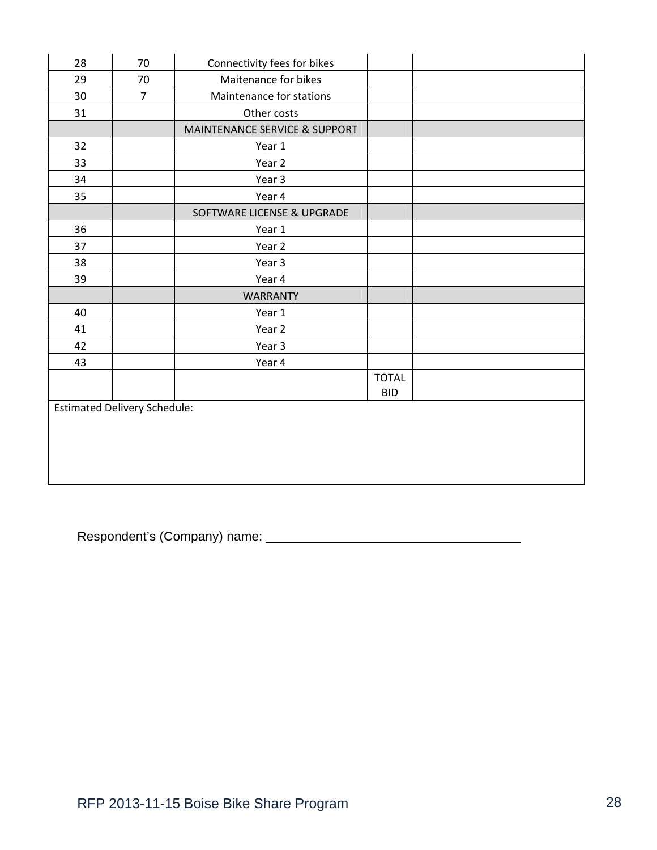| 28 | 70                                  | Connectivity fees for bikes   |              |  |
|----|-------------------------------------|-------------------------------|--------------|--|
| 29 | 70                                  | Maitenance for bikes          |              |  |
| 30 | $\overline{7}$                      | Maintenance for stations      |              |  |
| 31 |                                     | Other costs                   |              |  |
|    |                                     | MAINTENANCE SERVICE & SUPPORT |              |  |
| 32 |                                     | Year 1                        |              |  |
| 33 |                                     | Year 2                        |              |  |
| 34 |                                     | Year 3                        |              |  |
| 35 |                                     | Year 4                        |              |  |
|    |                                     | SOFTWARE LICENSE & UPGRADE    |              |  |
| 36 |                                     | Year 1                        |              |  |
| 37 |                                     | Year 2                        |              |  |
| 38 |                                     | Year 3                        |              |  |
| 39 |                                     | Year 4                        |              |  |
|    |                                     | <b>WARRANTY</b>               |              |  |
| 40 |                                     | Year 1                        |              |  |
| 41 |                                     | Year 2                        |              |  |
| 42 |                                     | Year 3                        |              |  |
| 43 |                                     | Year 4                        |              |  |
|    |                                     |                               | <b>TOTAL</b> |  |
|    |                                     |                               | <b>BID</b>   |  |
|    | <b>Estimated Delivery Schedule:</b> |                               |              |  |
|    |                                     |                               |              |  |
|    |                                     |                               |              |  |
|    |                                     |                               |              |  |
|    |                                     |                               |              |  |

Respondent's (Company) name: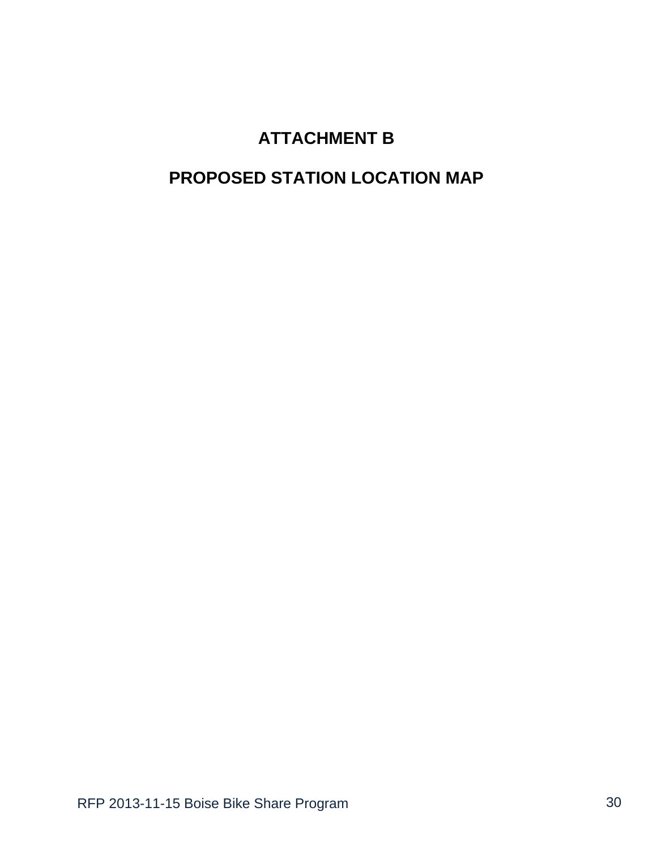# **ATTACHMENT B**

# **PROPOSED STATION LOCATION MAP**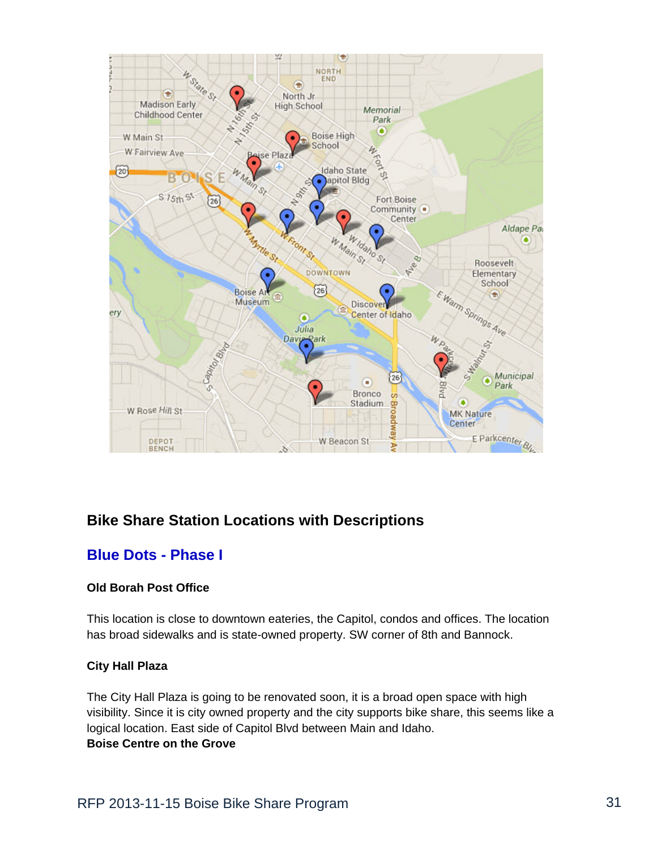

# **Bike Share Station Locations with Descriptions**

## **Blue Dots - Phase I**

## **Old Borah Post Office**

This location is close to downtown eateries, the Capitol, condos and offices. The location has broad sidewalks and is state-owned property. SW corner of 8th and Bannock.

#### **City Hall Plaza**

The City Hall Plaza is going to be renovated soon, it is a broad open space with high visibility. Since it is city owned property and the city supports bike share, this seems like a logical location. East side of Capitol Blvd between Main and Idaho. **Boise Centre on the Grove**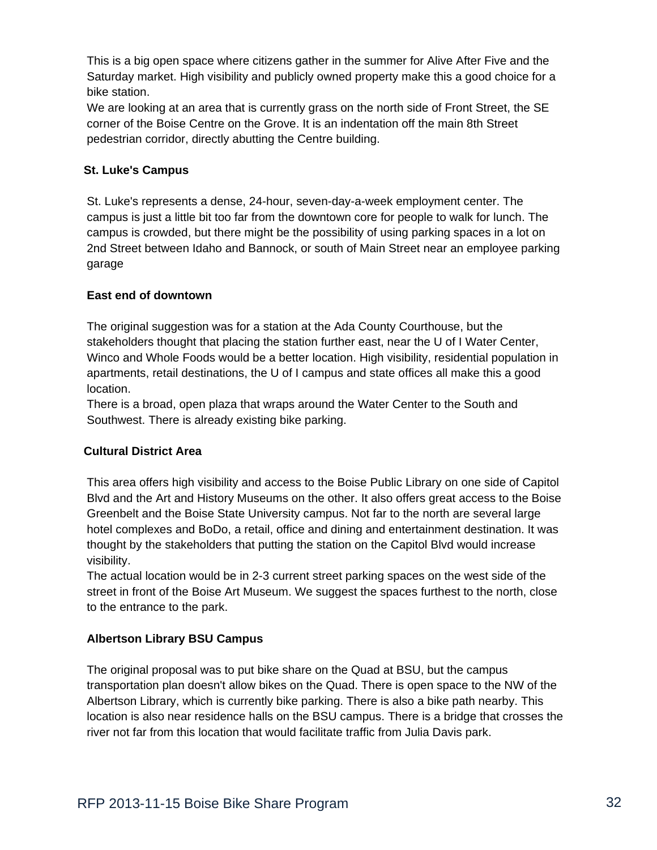This is a big open space where citizens gather in the summer for Alive After Five and the Saturday market. High visibility and publicly owned property make this a good choice for a bike station.

We are looking at an area that is currently grass on the north side of Front Street, the SE corner of the Boise Centre on the Grove. It is an indentation off the main 8th Street pedestrian corridor, directly abutting the Centre building.

## **St. Luke's Campus**

St. Luke's represents a dense, 24-hour, seven-day-a-week employment center. The campus is just a little bit too far from the downtown core for people to walk for lunch. The campus is crowded, but there might be the possibility of using parking spaces in a lot on 2nd Street between Idaho and Bannock, or south of Main Street near an employee parking garage

## **East end of downtown**

The original suggestion was for a station at the Ada County Courthouse, but the stakeholders thought that placing the station further east, near the U of I Water Center, Winco and Whole Foods would be a better location. High visibility, residential population in apartments, retail destinations, the U of I campus and state offices all make this a good location.

There is a broad, open plaza that wraps around the Water Center to the South and Southwest. There is already existing bike parking.

## **Cultural District Area**

This area offers high visibility and access to the Boise Public Library on one side of Capitol Blvd and the Art and History Museums on the other. It also offers great access to the Boise Greenbelt and the Boise State University campus. Not far to the north are several large hotel complexes and BoDo, a retail, office and dining and entertainment destination. It was thought by the stakeholders that putting the station on the Capitol Blvd would increase visibility.

The actual location would be in 2-3 current street parking spaces on the west side of the street in front of the Boise Art Museum. We suggest the spaces furthest to the north, close to the entrance to the park.

## **Albertson Library BSU Campus**

The original proposal was to put bike share on the Quad at BSU, but the campus transportation plan doesn't allow bikes on the Quad. There is open space to the NW of the Albertson Library, which is currently bike parking. There is also a bike path nearby. This location is also near residence halls on the BSU campus. There is a bridge that crosses the river not far from this location that would facilitate traffic from Julia Davis park.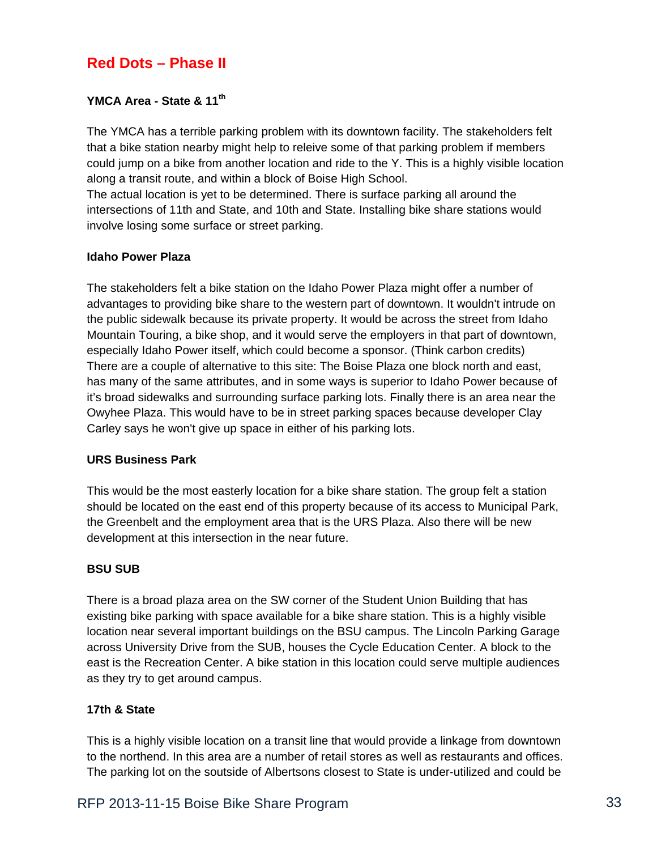# **Red Dots – Phase II**

### **YMCA Area - State & 11th**

The YMCA has a terrible parking problem with its downtown facility. The stakeholders felt that a bike station nearby might help to releive some of that parking problem if members could jump on a bike from another location and ride to the Y. This is a highly visible location along a transit route, and within a block of Boise High School.

The actual location is yet to be determined. There is surface parking all around the intersections of 11th and State, and 10th and State. Installing bike share stations would involve losing some surface or street parking.

#### **Idaho Power Plaza**

The stakeholders felt a bike station on the Idaho Power Plaza might offer a number of advantages to providing bike share to the western part of downtown. It wouldn't intrude on the public sidewalk because its private property. It would be across the street from Idaho Mountain Touring, a bike shop, and it would serve the employers in that part of downtown, especially Idaho Power itself, which could become a sponsor. (Think carbon credits) There are a couple of alternative to this site: The Boise Plaza one block north and east, has many of the same attributes, and in some ways is superior to Idaho Power because of it's broad sidewalks and surrounding surface parking lots. Finally there is an area near the Owyhee Plaza. This would have to be in street parking spaces because developer Clay Carley says he won't give up space in either of his parking lots.

#### **URS Business Park**

This would be the most easterly location for a bike share station. The group felt a station should be located on the east end of this property because of its access to Municipal Park, the Greenbelt and the employment area that is the URS Plaza. Also there will be new development at this intersection in the near future.

## **BSU SUB**

There is a broad plaza area on the SW corner of the Student Union Building that has existing bike parking with space available for a bike share station. This is a highly visible location near several important buildings on the BSU campus. The Lincoln Parking Garage across University Drive from the SUB, houses the Cycle Education Center. A block to the east is the Recreation Center. A bike station in this location could serve multiple audiences as they try to get around campus.

#### **17th & State**

This is a highly visible location on a transit line that would provide a linkage from downtown to the northend. In this area are a number of retail stores as well as restaurants and offices. The parking lot on the soutside of Albertsons closest to State is under-utilized and could be